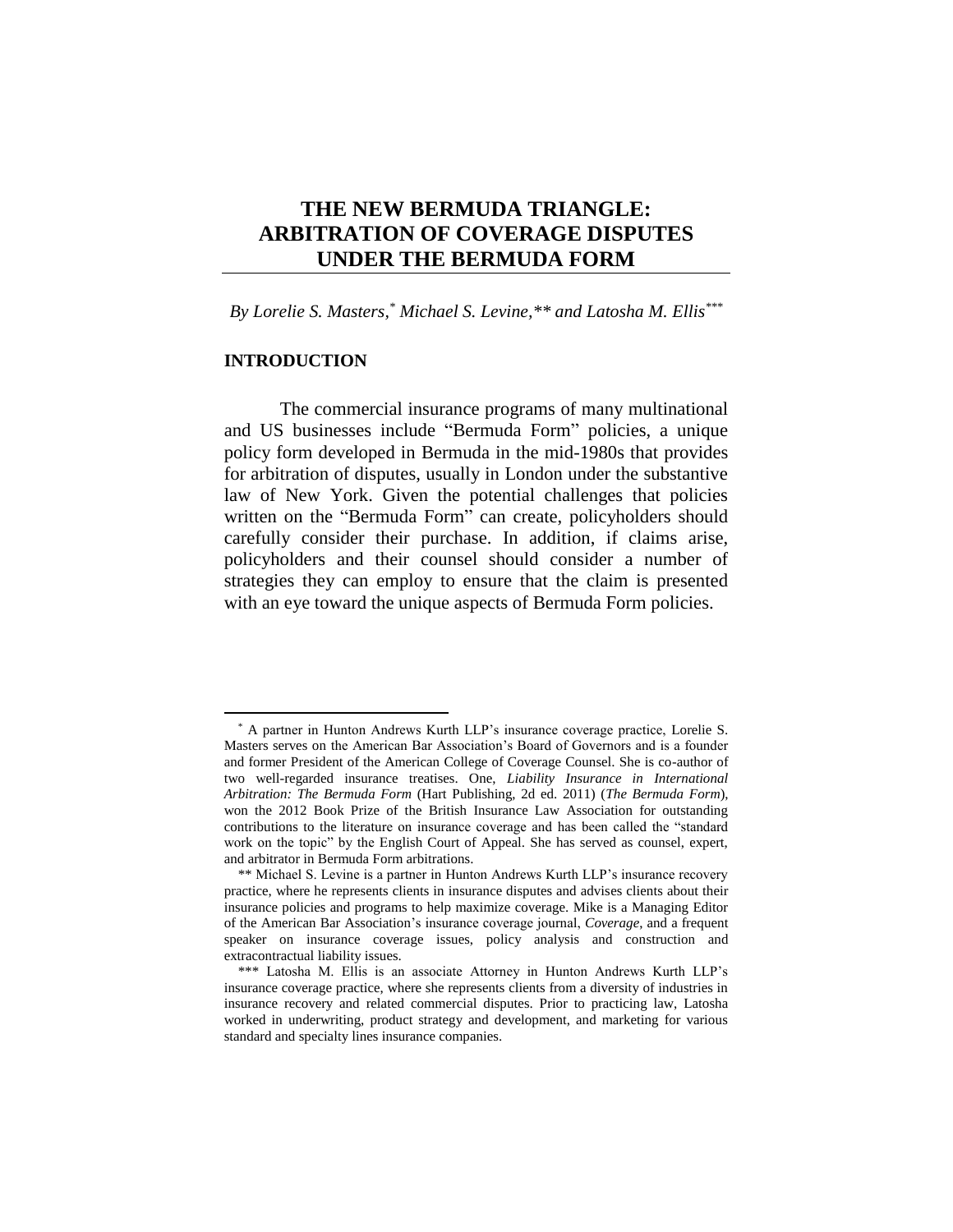# **THE NEW BERMUDA TRIANGLE: ARBITRATION OF COVERAGE DISPUTES UNDER THE BERMUDA FORM**

*By Lorelie S. Masters, \* Michael S. Levine,\*\* and Latosha M. Ellis\*\*\**

## **INTRODUCTION**

 $\overline{a}$ 

The commercial insurance programs of many multinational and US businesses include "Bermuda Form" policies, a unique policy form developed in Bermuda in the mid-1980s that provides for arbitration of disputes, usually in London under the substantive law of New York. Given the potential challenges that policies written on the "Bermuda Form" can create, policyholders should carefully consider their purchase. In addition, if claims arise, policyholders and their counsel should consider a number of strategies they can employ to ensure that the claim is presented with an eye toward the unique aspects of Bermuda Form policies.

<sup>\*</sup> A partner in Hunton Andrews Kurth LLP's insurance coverage practice, Lorelie S. Masters serves on the American Bar Association's Board of Governors and is a founder and former President of the American College of Coverage Counsel. She is co-author of two well-regarded insurance treatises. One, *Liability Insurance in International Arbitration: The Bermuda Form* (Hart Publishing, 2d ed. 2011) (*The Bermuda Form*), won the 2012 Book Prize of the British Insurance Law Association for outstanding contributions to the literature on insurance coverage and has been called the "standard work on the topic" by the English Court of Appeal. She has served as counsel, expert, and arbitrator in Bermuda Form arbitrations.

<sup>\*\*</sup> Michael S. Levine is a partner in Hunton Andrews Kurth LLP's insurance recovery practice, where he represents clients in insurance disputes and advises clients about their insurance policies and programs to help maximize coverage. Mike is a Managing Editor of the American Bar Association's insurance coverage journal, *Coverage*, and a frequent speaker on insurance coverage issues, policy analysis and construction and extracontractual liability issues.

<sup>\*\*\*</sup> Latosha M. Ellis is an associate Attorney in Hunton Andrews Kurth LLP's insurance coverage practice, where she represents clients from a diversity of industries in insurance recovery and related commercial disputes. Prior to practicing law, Latosha worked in underwriting, product strategy and development, and marketing for various standard and specialty lines insurance companies.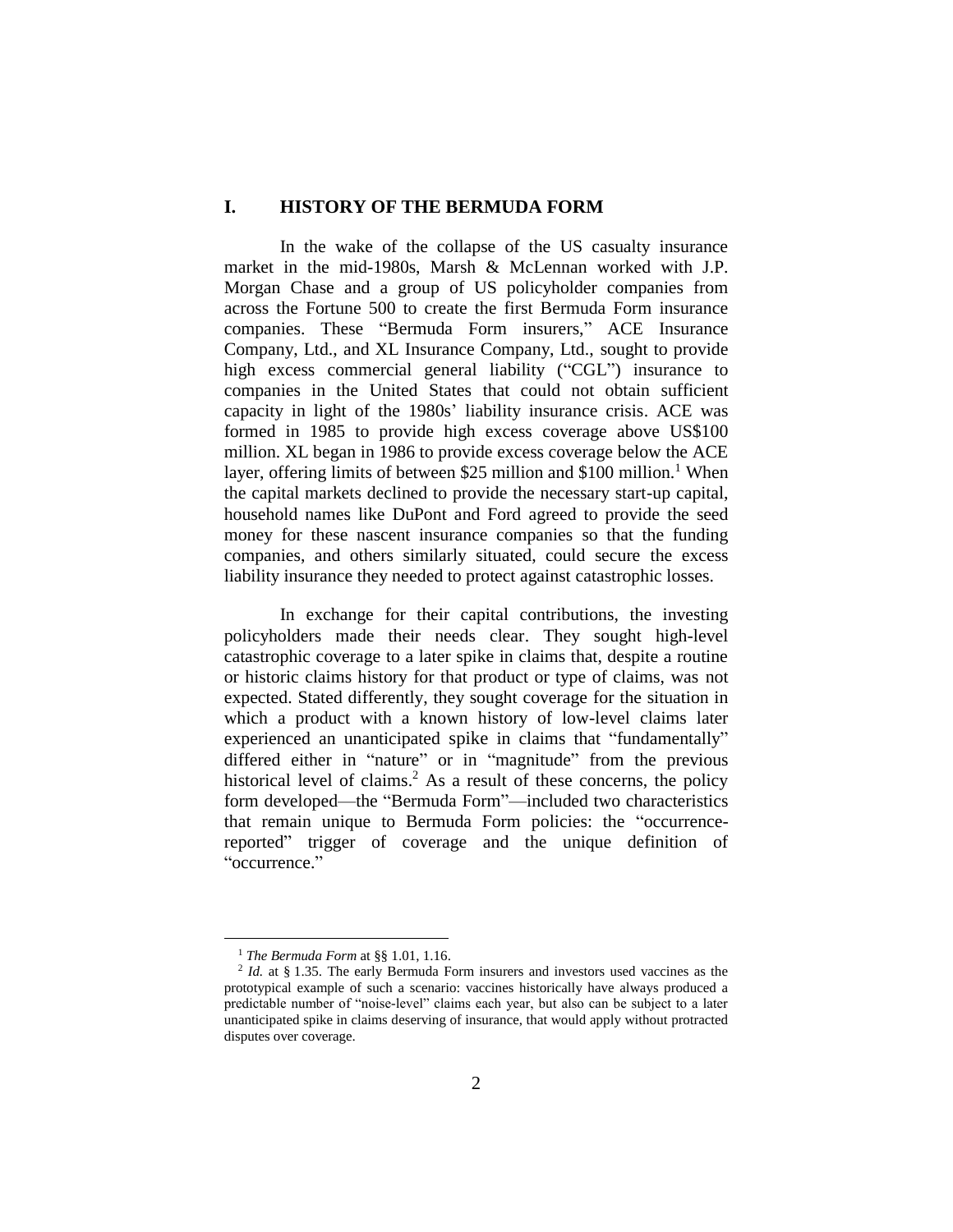### **I. HISTORY OF THE BERMUDA FORM**

In the wake of the collapse of the US casualty insurance market in the mid-1980s, Marsh & McLennan worked with J.P. Morgan Chase and a group of US policyholder companies from across the Fortune 500 to create the first Bermuda Form insurance companies. These "Bermuda Form insurers," ACE Insurance Company, Ltd., and XL Insurance Company, Ltd., sought to provide high excess commercial general liability ("CGL") insurance to companies in the United States that could not obtain sufficient capacity in light of the 1980s' liability insurance crisis. ACE was formed in 1985 to provide high excess coverage above US\$100 million. XL began in 1986 to provide excess coverage below the ACE layer, offering limits of between \$25 million and \$100 million.<sup>1</sup> When the capital markets declined to provide the necessary start-up capital, household names like DuPont and Ford agreed to provide the seed money for these nascent insurance companies so that the funding companies, and others similarly situated, could secure the excess liability insurance they needed to protect against catastrophic losses.

In exchange for their capital contributions, the investing policyholders made their needs clear. They sought high-level catastrophic coverage to a later spike in claims that, despite a routine or historic claims history for that product or type of claims, was not expected. Stated differently, they sought coverage for the situation in which a product with a known history of low-level claims later experienced an unanticipated spike in claims that "fundamentally" differed either in "nature" or in "magnitude" from the previous historical level of claims. <sup>2</sup> As a result of these concerns, the policy form developed—the "Bermuda Form"—included two characteristics that remain unique to Bermuda Form policies: the "occurrencereported" trigger of coverage and the unique definition of "occurrence."

<sup>1</sup> *The Bermuda Form* at §§ 1.01, 1.16.

<sup>&</sup>lt;sup>2</sup> *Id.* at § 1.35. The early Bermuda Form insurers and investors used vaccines as the prototypical example of such a scenario: vaccines historically have always produced a predictable number of "noise-level" claims each year, but also can be subject to a later unanticipated spike in claims deserving of insurance, that would apply without protracted disputes over coverage.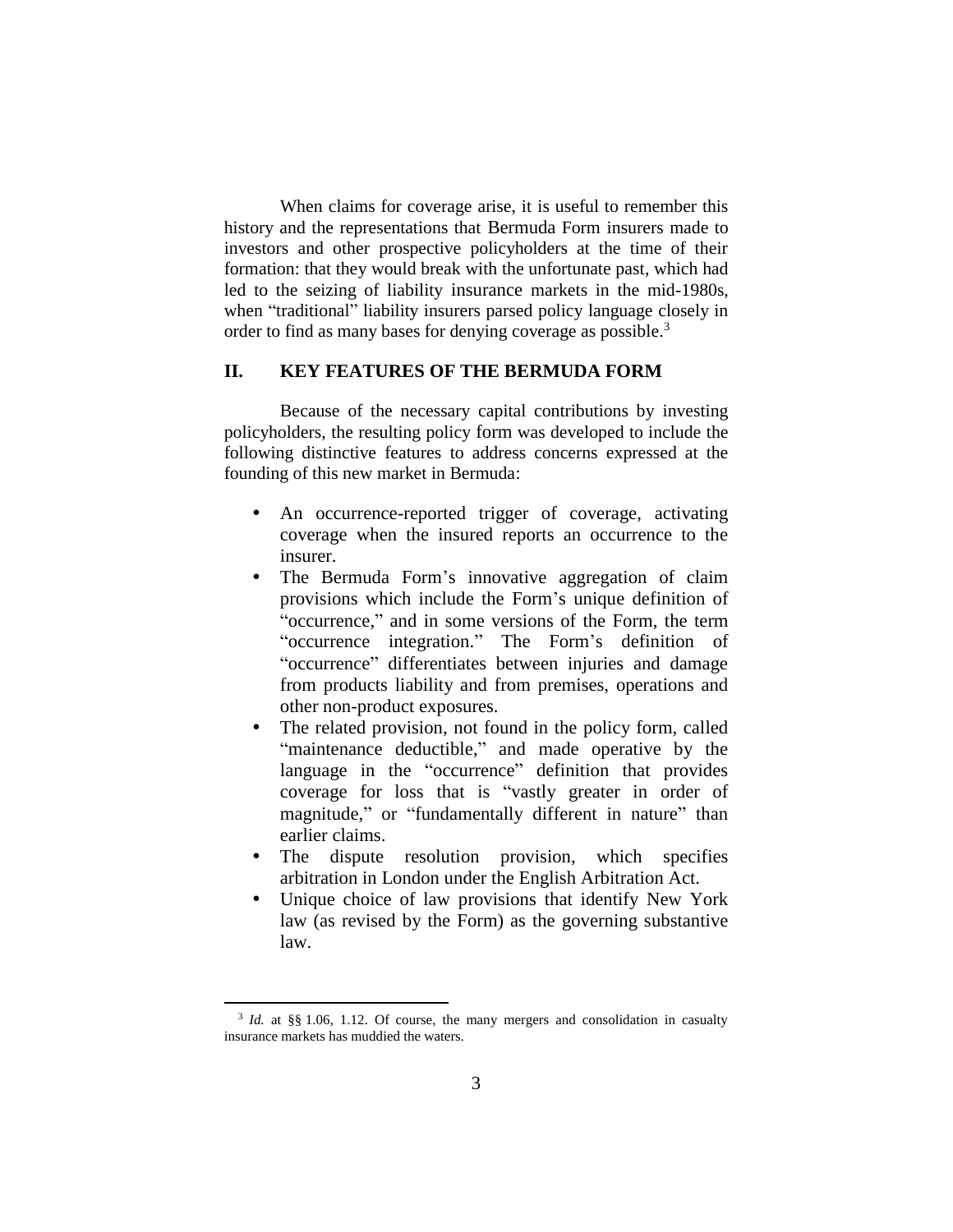When claims for coverage arise, it is useful to remember this history and the representations that Bermuda Form insurers made to investors and other prospective policyholders at the time of their formation: that they would break with the unfortunate past, which had led to the seizing of liability insurance markets in the mid-1980s, when "traditional" liability insurers parsed policy language closely in order to find as many bases for denying coverage as possible.<sup>3</sup>

## **II. KEY FEATURES OF THE BERMUDA FORM**

Because of the necessary capital contributions by investing policyholders, the resulting policy form was developed to include the following distinctive features to address concerns expressed at the founding of this new market in Bermuda:

- An occurrence-reported trigger of coverage, activating coverage when the insured reports an occurrence to the insurer.
- The Bermuda Form's innovative aggregation of claim provisions which include the Form's unique definition of "occurrence," and in some versions of the Form, the term "occurrence integration." The Form's definition of "occurrence" differentiates between injuries and damage from products liability and from premises, operations and other non-product exposures.
- The related provision, not found in the policy form, called "maintenance deductible," and made operative by the language in the "occurrence" definition that provides coverage for loss that is "vastly greater in order of magnitude," or "fundamentally different in nature" than earlier claims.
- The dispute resolution provision, which specifies arbitration in London under the English Arbitration Act.
- Unique choice of law provisions that identify New York law (as revised by the Form) as the governing substantive law.

<sup>&</sup>lt;sup>3</sup> *Id.* at §§ 1.06, 1.12. Of course, the many mergers and consolidation in casualty insurance markets has muddied the waters.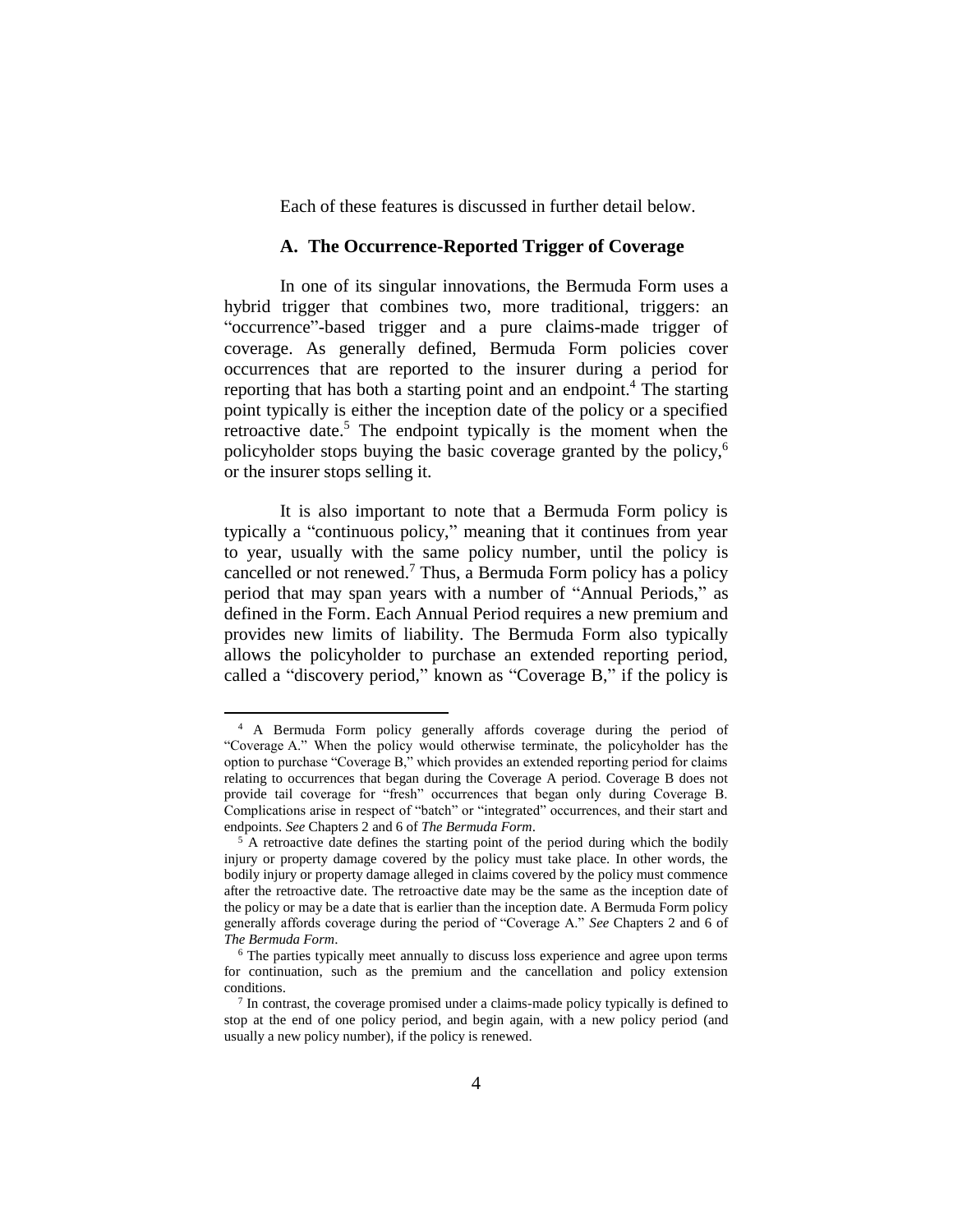Each of these features is discussed in further detail below.

#### **A. The Occurrence-Reported Trigger of Coverage**

In one of its singular innovations, the Bermuda Form uses a hybrid trigger that combines two, more traditional, triggers: an "occurrence"-based trigger and a pure claims-made trigger of coverage. As generally defined, Bermuda Form policies cover occurrences that are reported to the insurer during a period for reporting that has both a starting point and an endpoint. <sup>4</sup> The starting point typically is either the inception date of the policy or a specified retroactive date.<sup>5</sup> The endpoint typically is the moment when the policyholder stops buying the basic coverage granted by the policy,<sup>6</sup> or the insurer stops selling it.

It is also important to note that a Bermuda Form policy is typically a "continuous policy," meaning that it continues from year to year, usually with the same policy number, until the policy is cancelled or not renewed.<sup>7</sup> Thus, a Bermuda Form policy has a policy period that may span years with a number of "Annual Periods," as defined in the Form. Each Annual Period requires a new premium and provides new limits of liability. The Bermuda Form also typically allows the policyholder to purchase an extended reporting period, called a "discovery period," known as "Coverage B," if the policy is

<sup>4</sup> A Bermuda Form policy generally affords coverage during the period of "Coverage A." When the policy would otherwise terminate, the policyholder has the option to purchase "Coverage B," which provides an extended reporting period for claims relating to occurrences that began during the Coverage A period. Coverage B does not provide tail coverage for "fresh" occurrences that began only during Coverage B. Complications arise in respect of "batch" or "integrated" occurrences, and their start and endpoints. *See* Chapters 2 and 6 of *The Bermuda Form*.

<sup>&</sup>lt;sup>5</sup> A retroactive date defines the starting point of the period during which the bodily injury or property damage covered by the policy must take place. In other words, the bodily injury or property damage alleged in claims covered by the policy must commence after the retroactive date. The retroactive date may be the same as the inception date of the policy or may be a date that is earlier than the inception date. A Bermuda Form policy generally affords coverage during the period of "Coverage A." *See* Chapters 2 and 6 of *The Bermuda Form*.

<sup>6</sup> The parties typically meet annually to discuss loss experience and agree upon terms for continuation, such as the premium and the cancellation and policy extension conditions.

<sup>&</sup>lt;sup>7</sup> In contrast, the coverage promised under a claims-made policy typically is defined to stop at the end of one policy period, and begin again, with a new policy period (and usually a new policy number), if the policy is renewed.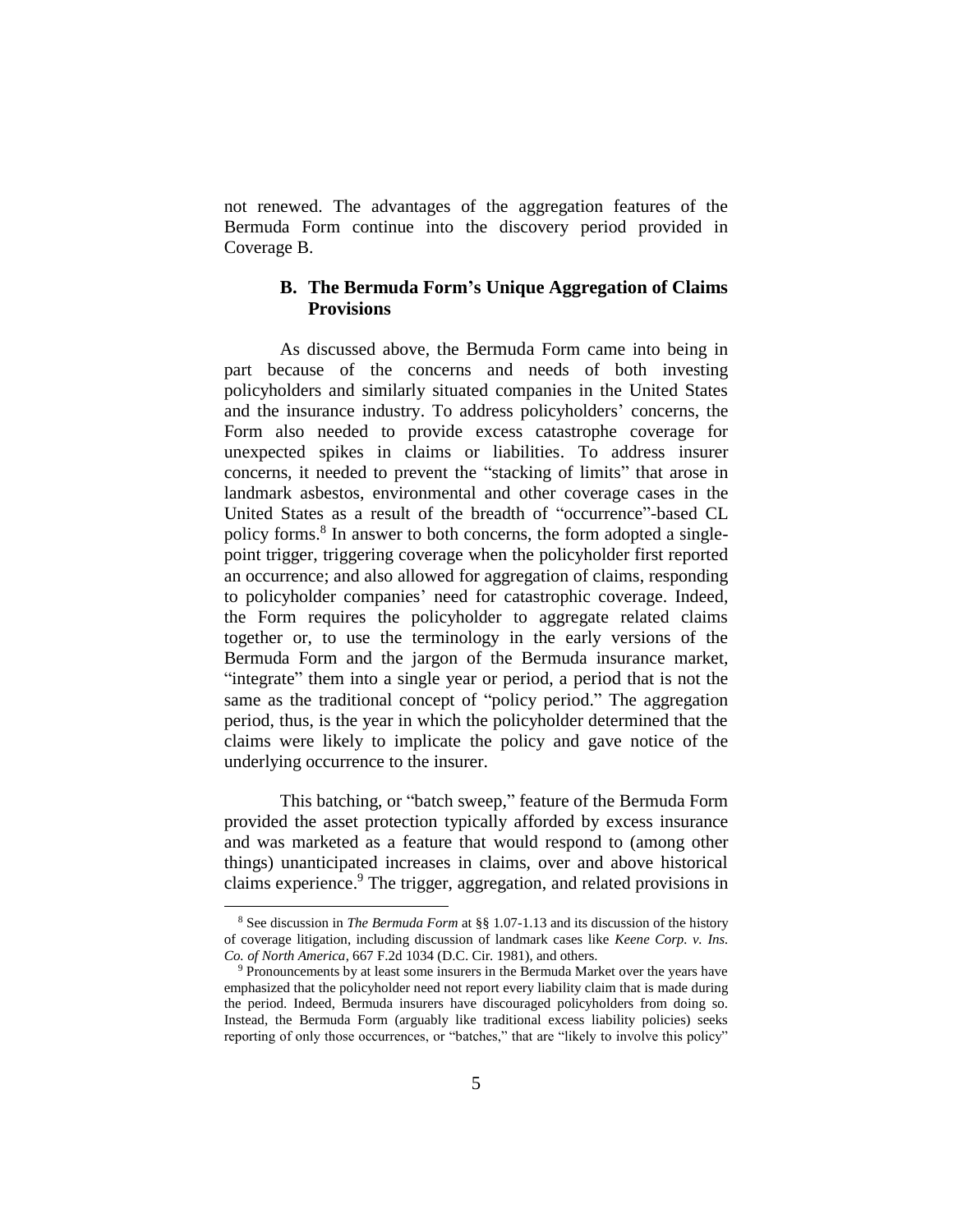not renewed. The advantages of the aggregation features of the Bermuda Form continue into the discovery period provided in Coverage B.

### **B. The Bermuda Form's Unique Aggregation of Claims Provisions**

As discussed above, the Bermuda Form came into being in part because of the concerns and needs of both investing policyholders and similarly situated companies in the United States and the insurance industry. To address policyholders' concerns, the Form also needed to provide excess catastrophe coverage for unexpected spikes in claims or liabilities. To address insurer concerns, it needed to prevent the "stacking of limits" that arose in landmark asbestos, environmental and other coverage cases in the United States as a result of the breadth of "occurrence"-based CL policy forms.<sup>8</sup> In answer to both concerns, the form adopted a singlepoint trigger, triggering coverage when the policyholder first reported an occurrence; and also allowed for aggregation of claims, responding to policyholder companies' need for catastrophic coverage. Indeed, the Form requires the policyholder to aggregate related claims together or, to use the terminology in the early versions of the Bermuda Form and the jargon of the Bermuda insurance market, "integrate" them into a single year or period, a period that is not the same as the traditional concept of "policy period." The aggregation period, thus, is the year in which the policyholder determined that the claims were likely to implicate the policy and gave notice of the underlying occurrence to the insurer.

This batching, or "batch sweep," feature of the Bermuda Form provided the asset protection typically afforded by excess insurance and was marketed as a feature that would respond to (among other things) unanticipated increases in claims, over and above historical claims experience. <sup>9</sup> The trigger, aggregation, and related provisions in

<sup>8</sup> See discussion in *The Bermuda Form* at §§ 1.07-1.13 and its discussion of the history of coverage litigation, including discussion of landmark cases like *Keene Corp. v. Ins. Co. of North America*, 667 F.2d 1034 (D.C. Cir. 1981), and others.

<sup>9</sup> Pronouncements by at least some insurers in the Bermuda Market over the years have emphasized that the policyholder need not report every liability claim that is made during the period. Indeed, Bermuda insurers have discouraged policyholders from doing so. Instead, the Bermuda Form (arguably like traditional excess liability policies) seeks reporting of only those occurrences, or "batches," that are "likely to involve this policy"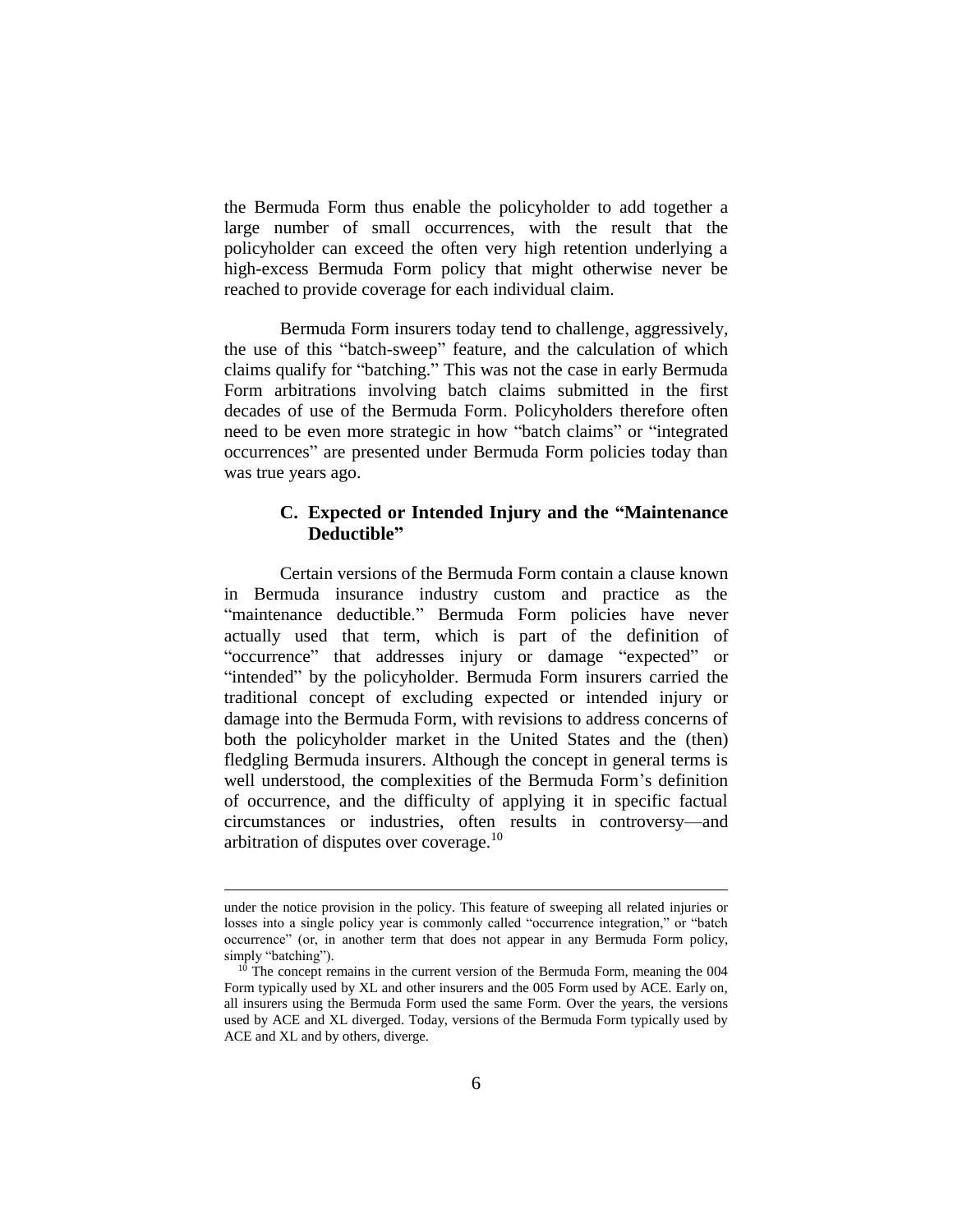the Bermuda Form thus enable the policyholder to add together a large number of small occurrences, with the result that the policyholder can exceed the often very high retention underlying a high-excess Bermuda Form policy that might otherwise never be reached to provide coverage for each individual claim.

Bermuda Form insurers today tend to challenge, aggressively, the use of this "batch-sweep" feature, and the calculation of which claims qualify for "batching." This was not the case in early Bermuda Form arbitrations involving batch claims submitted in the first decades of use of the Bermuda Form. Policyholders therefore often need to be even more strategic in how "batch claims" or "integrated occurrences" are presented under Bermuda Form policies today than was true years ago.

## **C. Expected or Intended Injury and the "Maintenance Deductible"**

Certain versions of the Bermuda Form contain a clause known in Bermuda insurance industry custom and practice as the "maintenance deductible." Bermuda Form policies have never actually used that term, which is part of the definition of "occurrence" that addresses injury or damage "expected" or "intended" by the policyholder. Bermuda Form insurers carried the traditional concept of excluding expected or intended injury or damage into the Bermuda Form, with revisions to address concerns of both the policyholder market in the United States and the (then) fledgling Bermuda insurers. Although the concept in general terms is well understood, the complexities of the Bermuda Form's definition of occurrence, and the difficulty of applying it in specific factual circumstances or industries, often results in controversy—and arbitration of disputes over coverage. $10$ 

under the notice provision in the policy. This feature of sweeping all related injuries or losses into a single policy year is commonly called "occurrence integration," or "batch occurrence" (or, in another term that does not appear in any Bermuda Form policy, simply "batching").

 $10$  The concept remains in the current version of the Bermuda Form, meaning the 004 Form typically used by XL and other insurers and the 005 Form used by ACE. Early on, all insurers using the Bermuda Form used the same Form. Over the years, the versions used by ACE and XL diverged. Today, versions of the Bermuda Form typically used by ACE and XL and by others, diverge.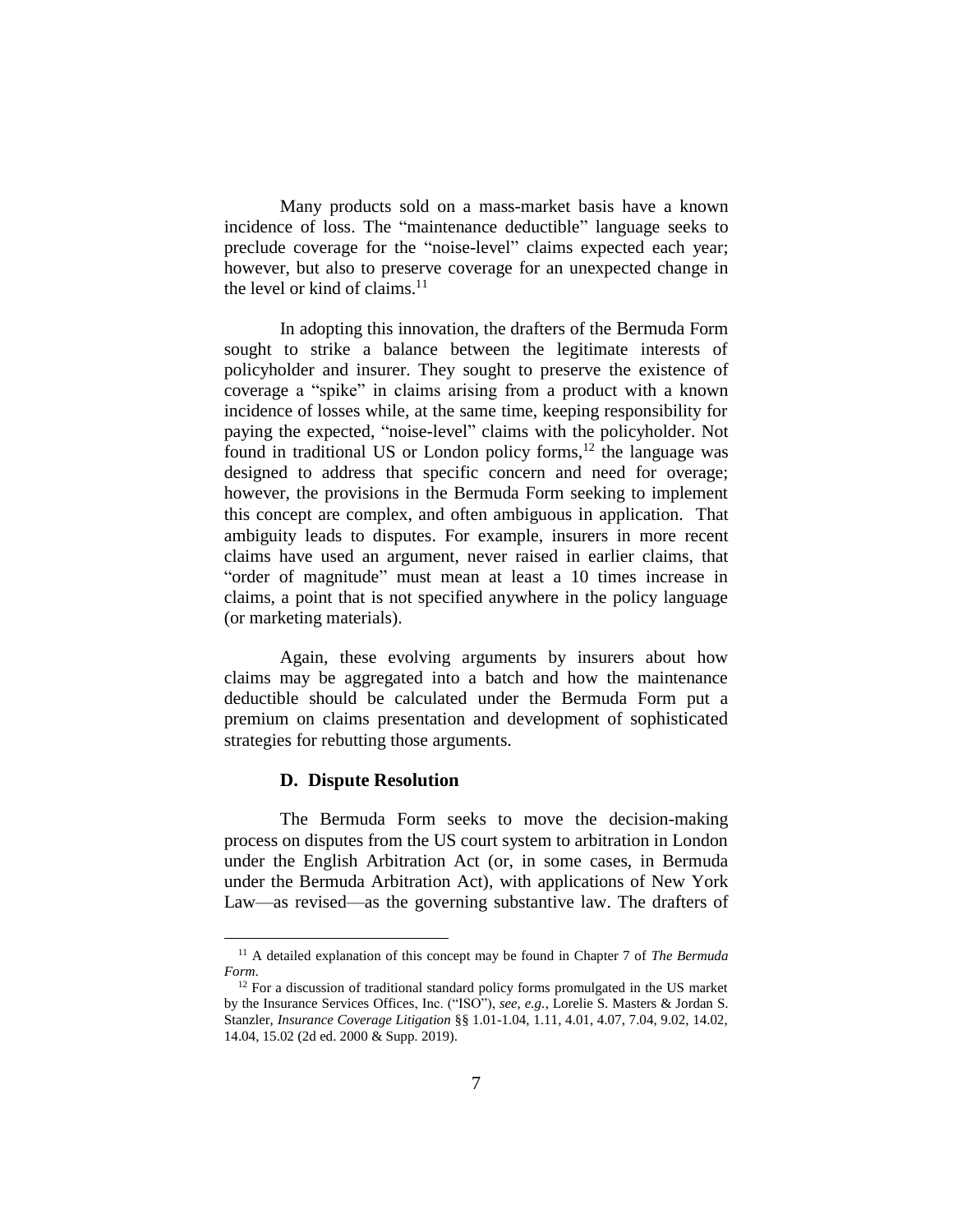Many products sold on a mass-market basis have a known incidence of loss. The "maintenance deductible" language seeks to preclude coverage for the "noise-level" claims expected each year; however, but also to preserve coverage for an unexpected change in the level or kind of claims.<sup>11</sup>

In adopting this innovation, the drafters of the Bermuda Form sought to strike a balance between the legitimate interests of policyholder and insurer. They sought to preserve the existence of coverage a "spike" in claims arising from a product with a known incidence of losses while, at the same time, keeping responsibility for paying the expected, "noise-level" claims with the policyholder. Not found in traditional US or London policy forms,<sup>12</sup> the language was designed to address that specific concern and need for overage; however, the provisions in the Bermuda Form seeking to implement this concept are complex, and often ambiguous in application. That ambiguity leads to disputes. For example, insurers in more recent claims have used an argument, never raised in earlier claims, that "order of magnitude" must mean at least a 10 times increase in claims, a point that is not specified anywhere in the policy language (or marketing materials).

Again, these evolving arguments by insurers about how claims may be aggregated into a batch and how the maintenance deductible should be calculated under the Bermuda Form put a premium on claims presentation and development of sophisticated strategies for rebutting those arguments.

#### **D. Dispute Resolution**

 $\overline{a}$ 

The Bermuda Form seeks to move the decision-making process on disputes from the US court system to arbitration in London under the English Arbitration Act (or, in some cases, in Bermuda under the Bermuda Arbitration Act), with applications of New York Law—as revised—as the governing substantive law. The drafters of

<sup>11</sup> A detailed explanation of this concept may be found in Chapter 7 of *The Bermuda Form*.

<sup>&</sup>lt;sup>12</sup> For a discussion of traditional standard policy forms promulgated in the US market by the Insurance Services Offices, Inc. ("ISO"), *see, e.g.*, Lorelie S. Masters & Jordan S. Stanzler, *Insurance Coverage Litigation* §§ 1.01-1.04, 1.11, 4.01, 4.07, 7.04, 9.02, 14.02, 14.04, 15.02 (2d ed. 2000 & Supp. 2019).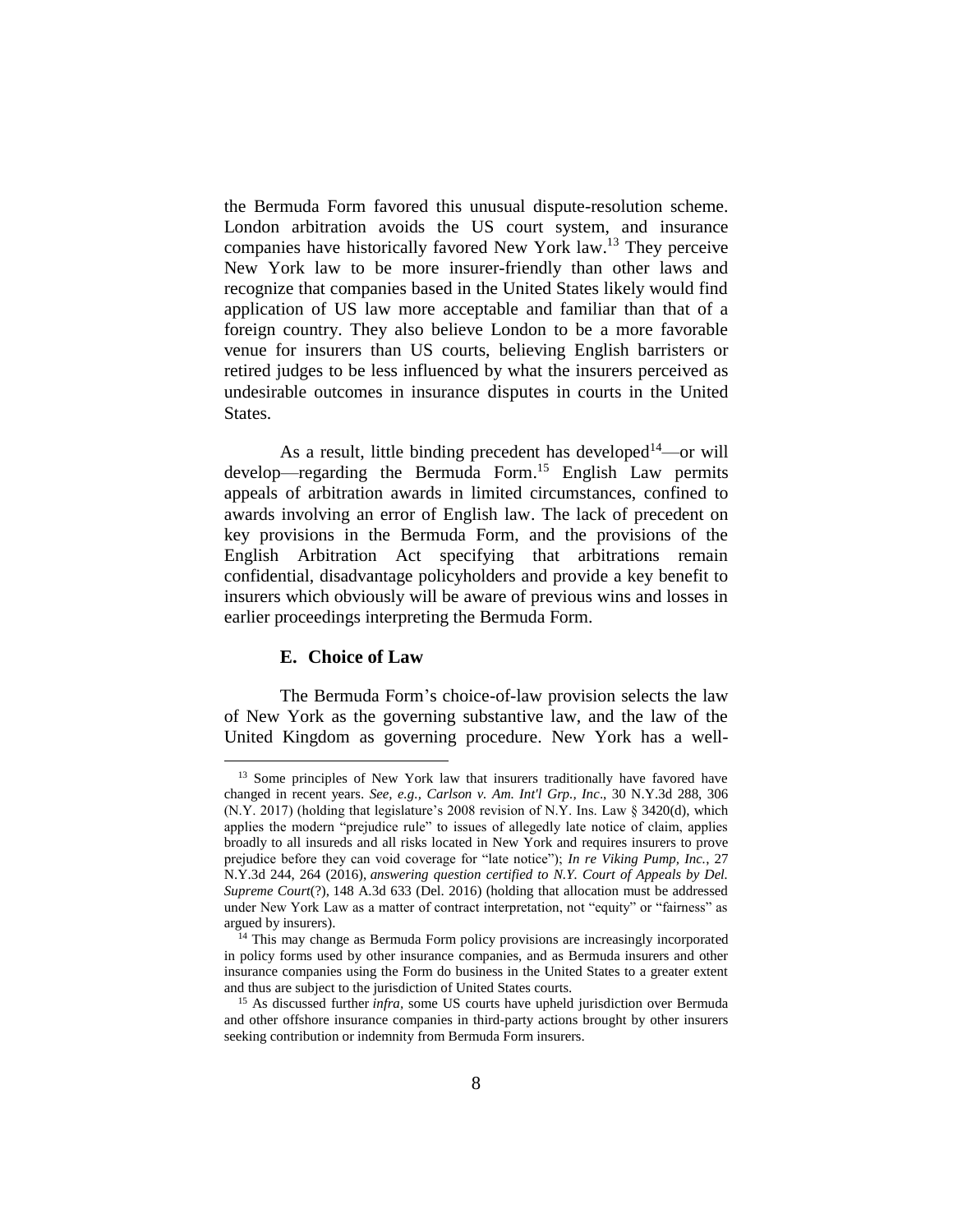the Bermuda Form favored this unusual dispute-resolution scheme. London arbitration avoids the US court system, and insurance companies have historically favored New York law. <sup>13</sup> They perceive New York law to be more insurer-friendly than other laws and recognize that companies based in the United States likely would find application of US law more acceptable and familiar than that of a foreign country. They also believe London to be a more favorable venue for insurers than US courts, believing English barristers or retired judges to be less influenced by what the insurers perceived as undesirable outcomes in insurance disputes in courts in the United States.

As a result, little binding precedent has developed $14$ —or will develop—regarding the Bermuda Form. <sup>15</sup> English Law permits appeals of arbitration awards in limited circumstances, confined to awards involving an error of English law. The lack of precedent on key provisions in the Bermuda Form, and the provisions of the English Arbitration Act specifying that arbitrations remain confidential, disadvantage policyholders and provide a key benefit to insurers which obviously will be aware of previous wins and losses in earlier proceedings interpreting the Bermuda Form.

#### **E. Choice of Law**

 $\overline{a}$ 

The Bermuda Form's choice-of-law provision selects the law of New York as the governing substantive law, and the law of the United Kingdom as governing procedure. New York has a well-

<sup>&</sup>lt;sup>13</sup> Some principles of New York law that insurers traditionally have favored have changed in recent years. *See, e.g., Carlson v. Am. Int'l Grp., Inc*., 30 N.Y.3d 288, 306 (N.Y. 2017) (holding that legislature's 2008 revision of N.Y. Ins. Law § 3420(d), which applies the modern "prejudice rule" to issues of allegedly late notice of claim, applies broadly to all insureds and all risks located in New York and requires insurers to prove prejudice before they can void coverage for "late notice"); *In re Viking Pump, Inc.*, 27 N.Y.3d 244, 264 (2016), *answering question certified to N.Y. Court of Appeals by Del. Supreme Court*(?), 148 A.3d 633 (Del. 2016) (holding that allocation must be addressed under New York Law as a matter of contract interpretation, not "equity" or "fairness" as argued by insurers).

<sup>&</sup>lt;sup>14</sup> This may change as Bermuda Form policy provisions are increasingly incorporated in policy forms used by other insurance companies, and as Bermuda insurers and other insurance companies using the Form do business in the United States to a greater extent and thus are subject to the jurisdiction of United States courts.

<sup>15</sup> As discussed further *infra,* some US courts have upheld jurisdiction over Bermuda and other offshore insurance companies in third-party actions brought by other insurers seeking contribution or indemnity from Bermuda Form insurers.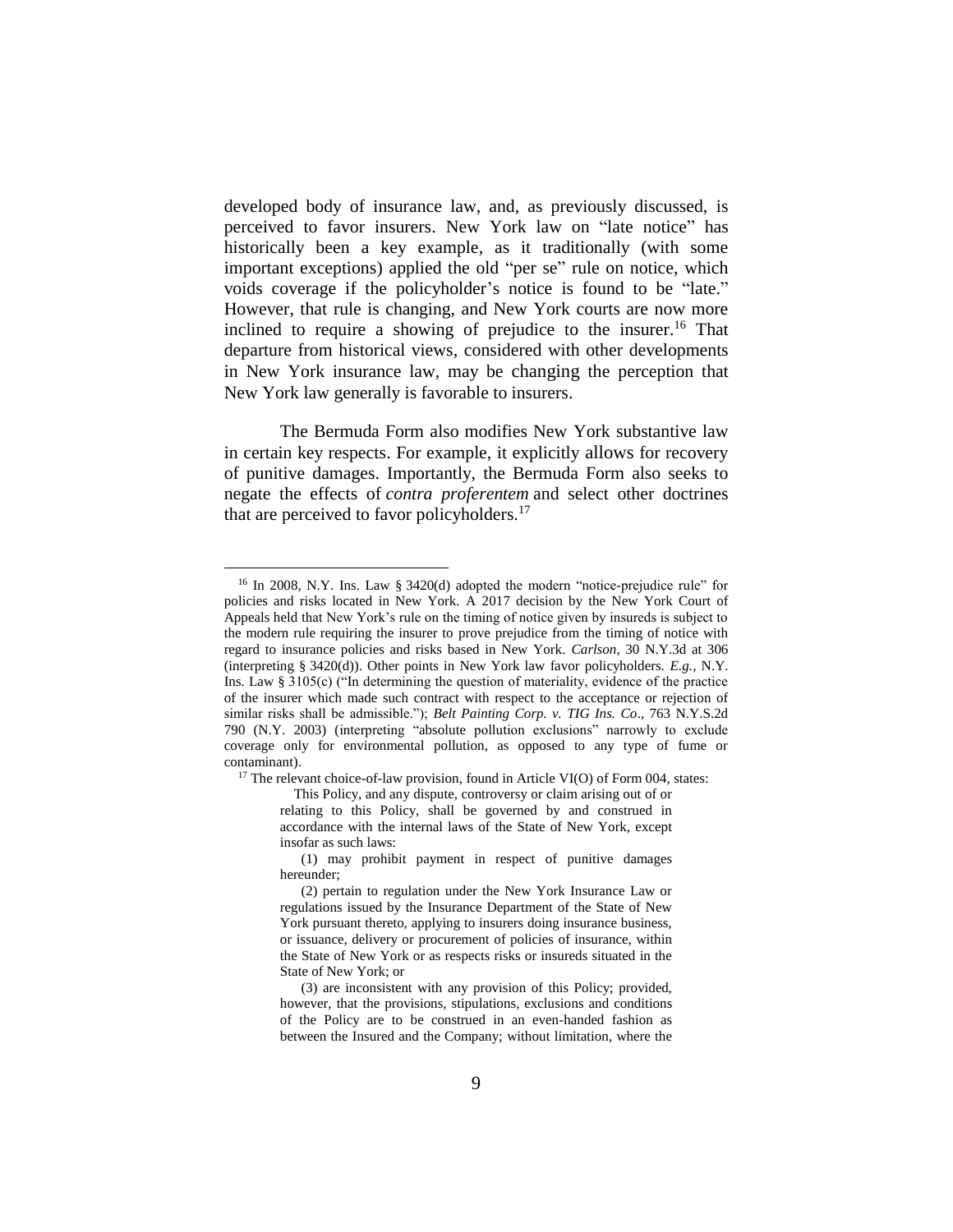developed body of insurance law, and, as previously discussed, is perceived to favor insurers. New York law on "late notice" has historically been a key example, as it traditionally (with some important exceptions) applied the old "per se" rule on notice, which voids coverage if the policyholder's notice is found to be "late." However, that rule is changing, and New York courts are now more inclined to require a showing of prejudice to the insurer.<sup>16</sup> That departure from historical views, considered with other developments in New York insurance law, may be changing the perception that New York law generally is favorable to insurers.

The Bermuda Form also modifies New York substantive law in certain key respects. For example, it explicitly allows for recovery of punitive damages. Importantly, the Bermuda Form also seeks to negate the effects of *contra proferentem* and select other doctrines that are perceived to favor policyholders. $17$ 

 $\overline{a}$ 

 $17$  The relevant choice-of-law provision, found in Article VI(O) of Form 004, states:

This Policy, and any dispute, controversy or claim arising out of or relating to this Policy, shall be governed by and construed in accordance with the internal laws of the State of New York, except insofar as such laws:

(1) may prohibit payment in respect of punitive damages hereunder;

<sup>&</sup>lt;sup>16</sup> In 2008, N.Y. Ins. Law § 3420(d) adopted the modern "notice-prejudice rule" for policies and risks located in New York. A 2017 decision by the New York Court of Appeals held that New York's rule on the timing of notice given by insureds is subject to the modern rule requiring the insurer to prove prejudice from the timing of notice with regard to insurance policies and risks based in New York. *Carlson*, 30 N.Y.3d at 306 (interpreting § 3420(d)). Other points in New York law favor policyholders. *E.g.*, N.Y. Ins. Law § 3105(c) ("In determining the question of materiality, evidence of the practice of the insurer which made such contract with respect to the acceptance or rejection of similar risks shall be admissible."); *Belt Painting Corp. v. TIG Ins. Co*., 763 N.Y.S.2d 790 (N.Y. 2003) (interpreting "absolute pollution exclusions" narrowly to exclude coverage only for environmental pollution, as opposed to any type of fume or contaminant).

<sup>(2)</sup> pertain to regulation under the New York Insurance Law or regulations issued by the Insurance Department of the State of New York pursuant thereto, applying to insurers doing insurance business, or issuance, delivery or procurement of policies of insurance, within the State of New York or as respects risks or insureds situated in the State of New York; or

<sup>(3)</sup> are inconsistent with any provision of this Policy; provided, however, that the provisions, stipulations, exclusions and conditions of the Policy are to be construed in an even-handed fashion as between the Insured and the Company; without limitation, where the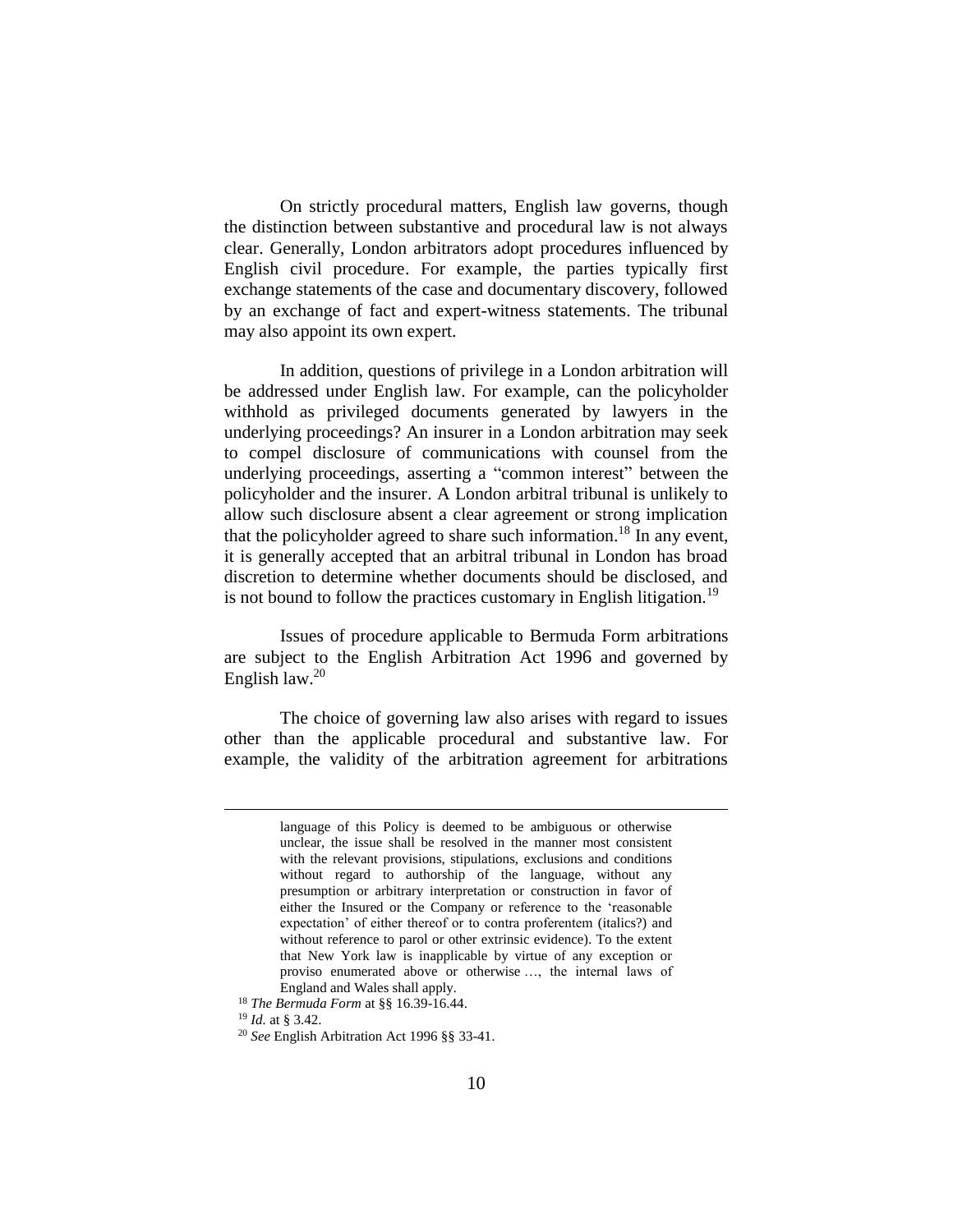On strictly procedural matters, English law governs, though the distinction between substantive and procedural law is not always clear. Generally, London arbitrators adopt procedures influenced by English civil procedure. For example, the parties typically first exchange statements of the case and documentary discovery, followed by an exchange of fact and expert-witness statements. The tribunal may also appoint its own expert.

In addition, questions of privilege in a London arbitration will be addressed under English law. For example, can the policyholder withhold as privileged documents generated by lawyers in the underlying proceedings? An insurer in a London arbitration may seek to compel disclosure of communications with counsel from the underlying proceedings, asserting a "common interest" between the policyholder and the insurer. A London arbitral tribunal is unlikely to allow such disclosure absent a clear agreement or strong implication that the policyholder agreed to share such information.<sup>18</sup> In any event, it is generally accepted that an arbitral tribunal in London has broad discretion to determine whether documents should be disclosed, and is not bound to follow the practices customary in English litigation.<sup>19</sup>

Issues of procedure applicable to Bermuda Form arbitrations are subject to the English Arbitration Act 1996 and governed by English law.<sup>20</sup>

The choice of governing law also arises with regard to issues other than the applicable procedural and substantive law. For example, the validity of the arbitration agreement for arbitrations

language of this Policy is deemed to be ambiguous or otherwise unclear, the issue shall be resolved in the manner most consistent with the relevant provisions, stipulations, exclusions and conditions without regard to authorship of the language, without any presumption or arbitrary interpretation or construction in favor of either the Insured or the Company or reference to the 'reasonable expectation' of either thereof or to contra proferentem (italics?) and without reference to parol or other extrinsic evidence). To the extent that New York law is inapplicable by virtue of any exception or proviso enumerated above or otherwise …, the internal laws of England and Wales shall apply.

<sup>18</sup> *The Bermuda Form* at §§ 16.39-16.44.

<sup>19</sup> *Id.* at § 3.42.

<sup>20</sup> *See* English Arbitration Act 1996 §§ 33-41.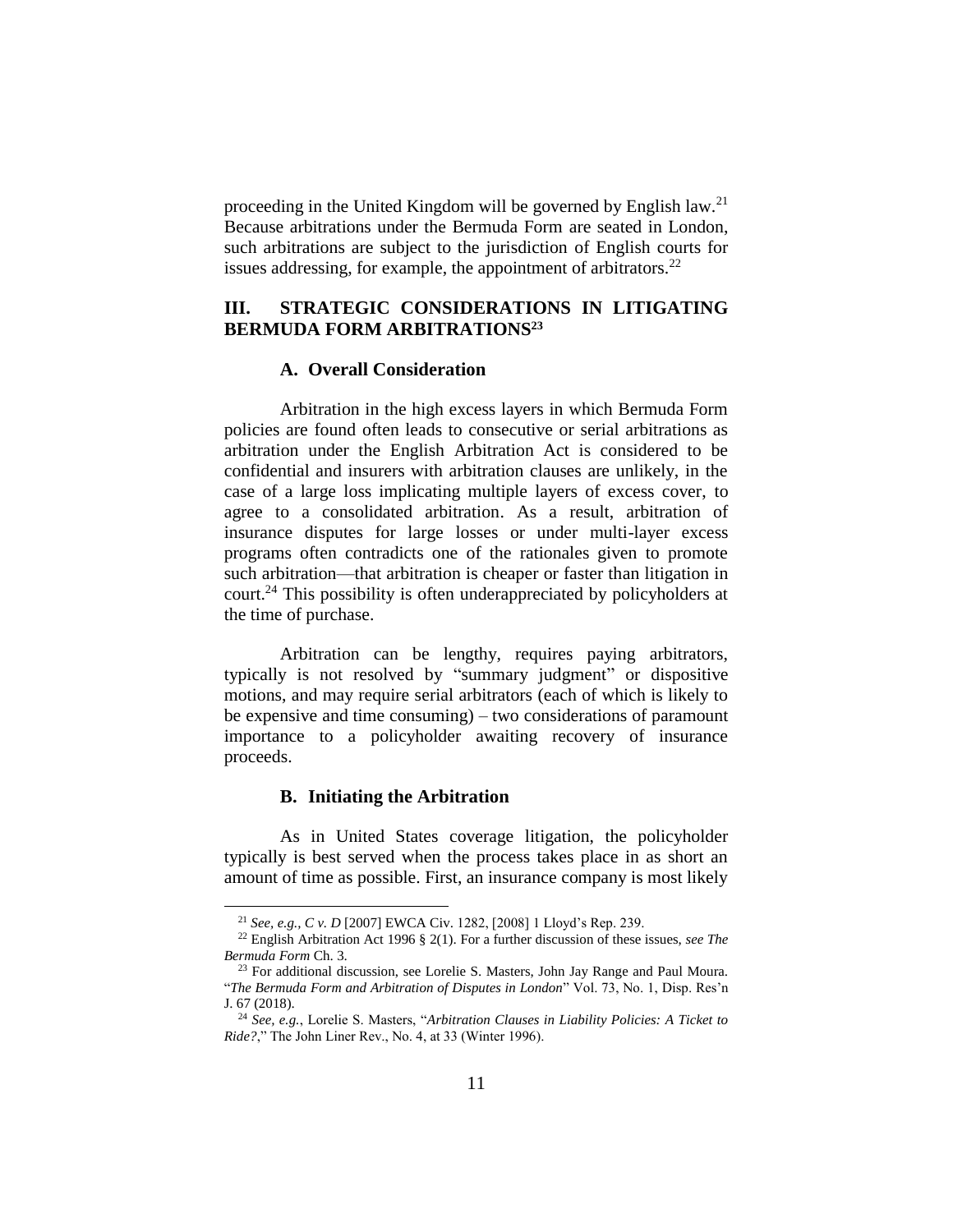proceeding in the United Kingdom will be governed by English law.<sup>21</sup> Because arbitrations under the Bermuda Form are seated in London, such arbitrations are subject to the jurisdiction of English courts for issues addressing, for example, the appointment of arbitrators.<sup>22</sup>

## **III. STRATEGIC CONSIDERATIONS IN LITIGATING BERMUDA FORM ARBITRATIONS<sup>23</sup>**

### **A. Overall Consideration**

Arbitration in the high excess layers in which Bermuda Form policies are found often leads to consecutive or serial arbitrations as arbitration under the English Arbitration Act is considered to be confidential and insurers with arbitration clauses are unlikely, in the case of a large loss implicating multiple layers of excess cover, to agree to a consolidated arbitration. As a result, arbitration of insurance disputes for large losses or under multi-layer excess programs often contradicts one of the rationales given to promote such arbitration—that arbitration is cheaper or faster than litigation in court.<sup>24</sup> This possibility is often underappreciated by policyholders at the time of purchase.

Arbitration can be lengthy, requires paying arbitrators, typically is not resolved by "summary judgment" or dispositive motions, and may require serial arbitrators (each of which is likely to be expensive and time consuming) – two considerations of paramount importance to a policyholder awaiting recovery of insurance proceeds.

### **B. Initiating the Arbitration**

 $\overline{a}$ 

As in United States coverage litigation, the policyholder typically is best served when the process takes place in as short an amount of time as possible. First, an insurance company is most likely

<sup>21</sup> *See, e.g., C v. D* [2007] EWCA Civ. 1282, [2008] 1 Lloyd's Rep. 239.

<sup>22</sup> English Arbitration Act 1996 § 2(1). For a further discussion of these issues, *see The Bermuda Form* Ch. 3.

<sup>&</sup>lt;sup>23</sup> For additional discussion, see Lorelie S. Masters, John Jay Range and Paul Moura. "*The Bermuda Form and Arbitration of Disputes in London*" Vol. 73, No. 1, Disp. Res'n J. 67 (2018).

<sup>24</sup> *See, e.g.*, Lorelie S. Masters, "*Arbitration Clauses in Liability Policies: A Ticket to Ride?*," The John Liner Rev., No. 4, at 33 (Winter 1996).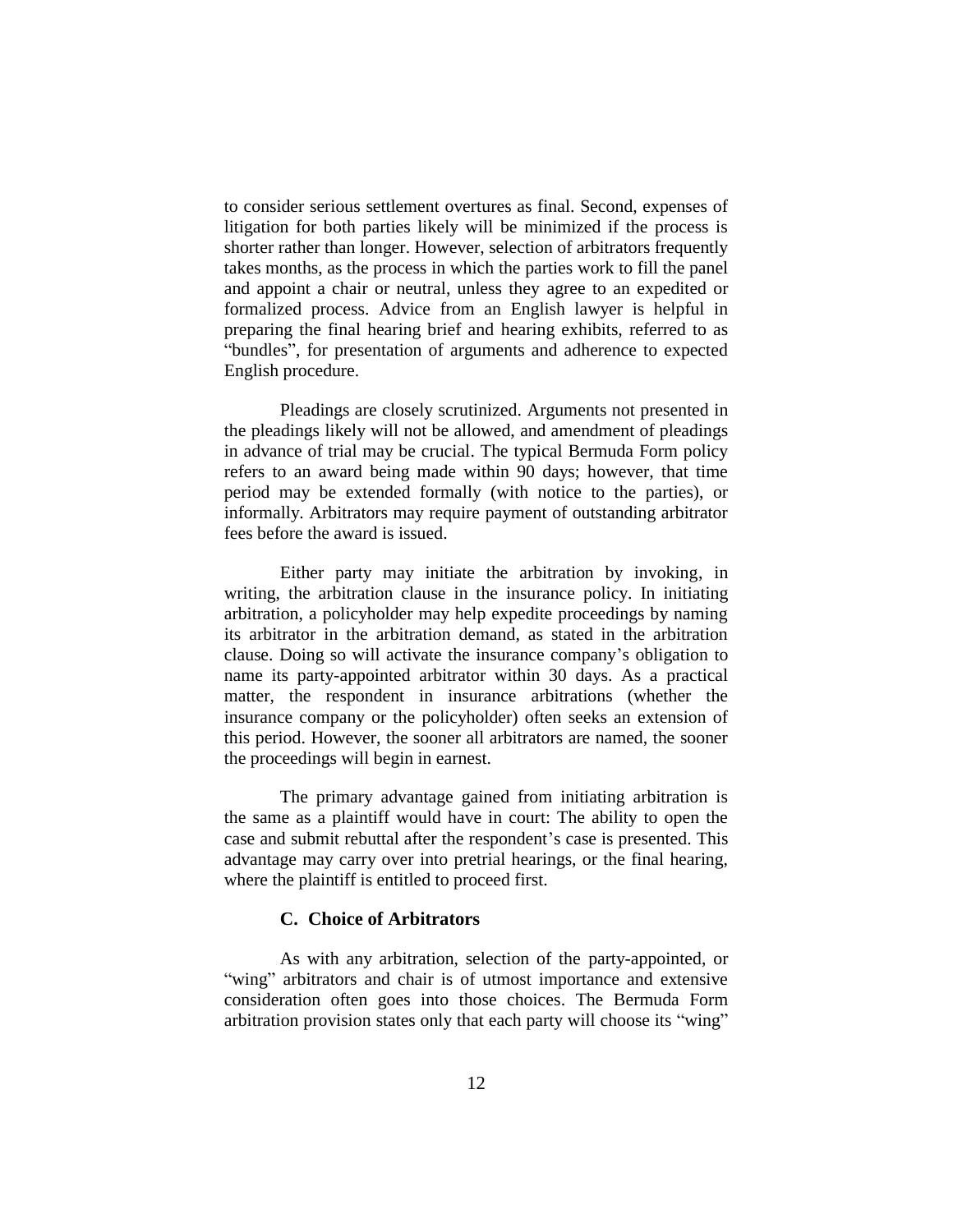to consider serious settlement overtures as final. Second, expenses of litigation for both parties likely will be minimized if the process is shorter rather than longer. However, selection of arbitrators frequently takes months, as the process in which the parties work to fill the panel and appoint a chair or neutral, unless they agree to an expedited or formalized process. Advice from an English lawyer is helpful in preparing the final hearing brief and hearing exhibits, referred to as "bundles", for presentation of arguments and adherence to expected English procedure.

Pleadings are closely scrutinized. Arguments not presented in the pleadings likely will not be allowed, and amendment of pleadings in advance of trial may be crucial. The typical Bermuda Form policy refers to an award being made within 90 days; however, that time period may be extended formally (with notice to the parties), or informally. Arbitrators may require payment of outstanding arbitrator fees before the award is issued.

Either party may initiate the arbitration by invoking, in writing, the arbitration clause in the insurance policy. In initiating arbitration, a policyholder may help expedite proceedings by naming its arbitrator in the arbitration demand, as stated in the arbitration clause. Doing so will activate the insurance company's obligation to name its party-appointed arbitrator within 30 days. As a practical matter, the respondent in insurance arbitrations (whether the insurance company or the policyholder) often seeks an extension of this period. However, the sooner all arbitrators are named, the sooner the proceedings will begin in earnest.

The primary advantage gained from initiating arbitration is the same as a plaintiff would have in court: The ability to open the case and submit rebuttal after the respondent's case is presented. This advantage may carry over into pretrial hearings, or the final hearing, where the plaintiff is entitled to proceed first.

#### **C. Choice of Arbitrators**

As with any arbitration, selection of the party-appointed, or "wing" arbitrators and chair is of utmost importance and extensive consideration often goes into those choices. The Bermuda Form arbitration provision states only that each party will choose its "wing"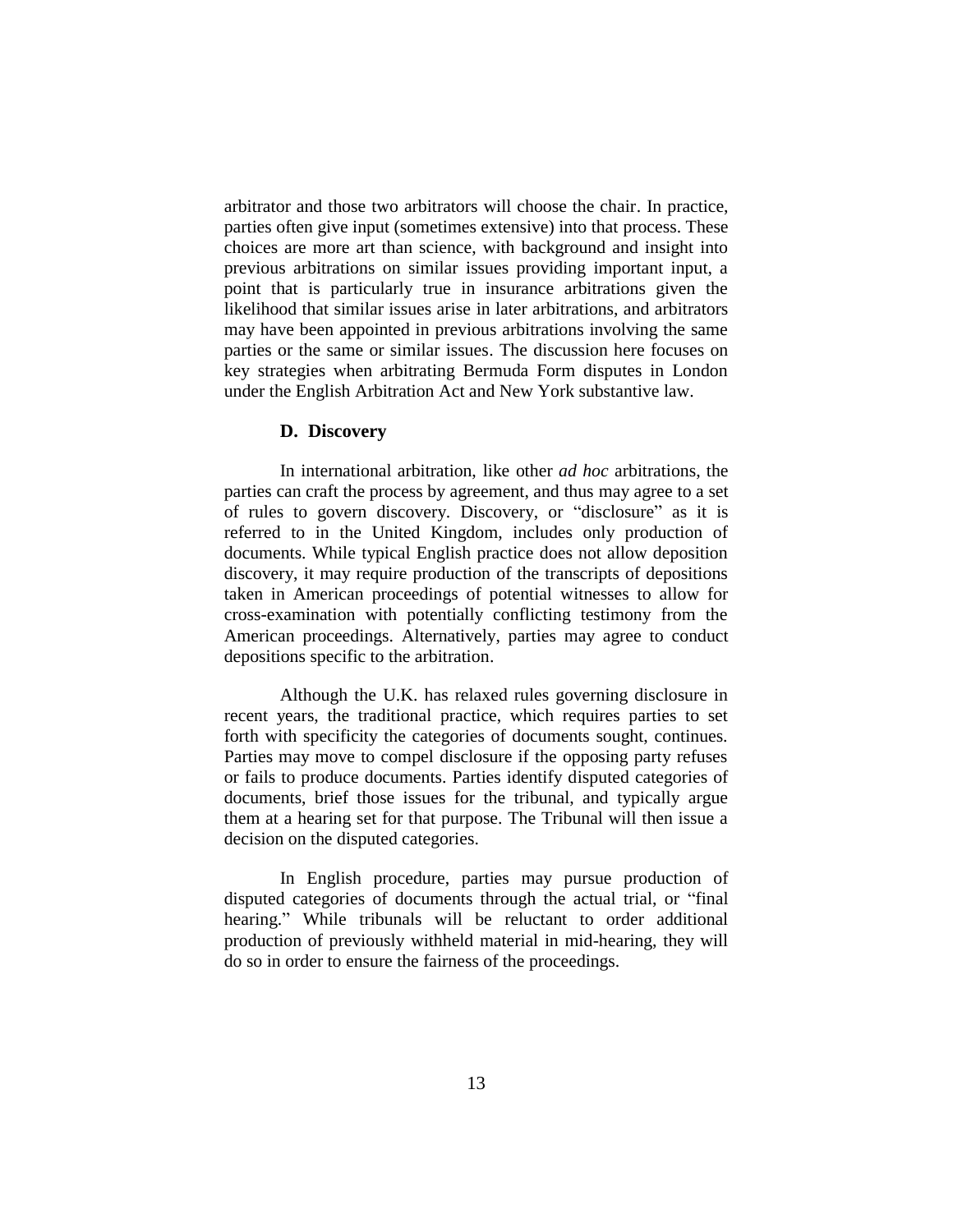arbitrator and those two arbitrators will choose the chair. In practice, parties often give input (sometimes extensive) into that process. These choices are more art than science, with background and insight into previous arbitrations on similar issues providing important input, a point that is particularly true in insurance arbitrations given the likelihood that similar issues arise in later arbitrations, and arbitrators may have been appointed in previous arbitrations involving the same parties or the same or similar issues. The discussion here focuses on key strategies when arbitrating Bermuda Form disputes in London under the English Arbitration Act and New York substantive law.

#### **D. Discovery**

In international arbitration, like other *ad hoc* arbitrations, the parties can craft the process by agreement, and thus may agree to a set of rules to govern discovery. Discovery, or "disclosure" as it is referred to in the United Kingdom, includes only production of documents. While typical English practice does not allow deposition discovery, it may require production of the transcripts of depositions taken in American proceedings of potential witnesses to allow for cross-examination with potentially conflicting testimony from the American proceedings. Alternatively, parties may agree to conduct depositions specific to the arbitration.

Although the U.K. has relaxed rules governing disclosure in recent years, the traditional practice, which requires parties to set forth with specificity the categories of documents sought, continues. Parties may move to compel disclosure if the opposing party refuses or fails to produce documents. Parties identify disputed categories of documents, brief those issues for the tribunal, and typically argue them at a hearing set for that purpose. The Tribunal will then issue a decision on the disputed categories.

In English procedure, parties may pursue production of disputed categories of documents through the actual trial, or "final hearing." While tribunals will be reluctant to order additional production of previously withheld material in mid-hearing, they will do so in order to ensure the fairness of the proceedings.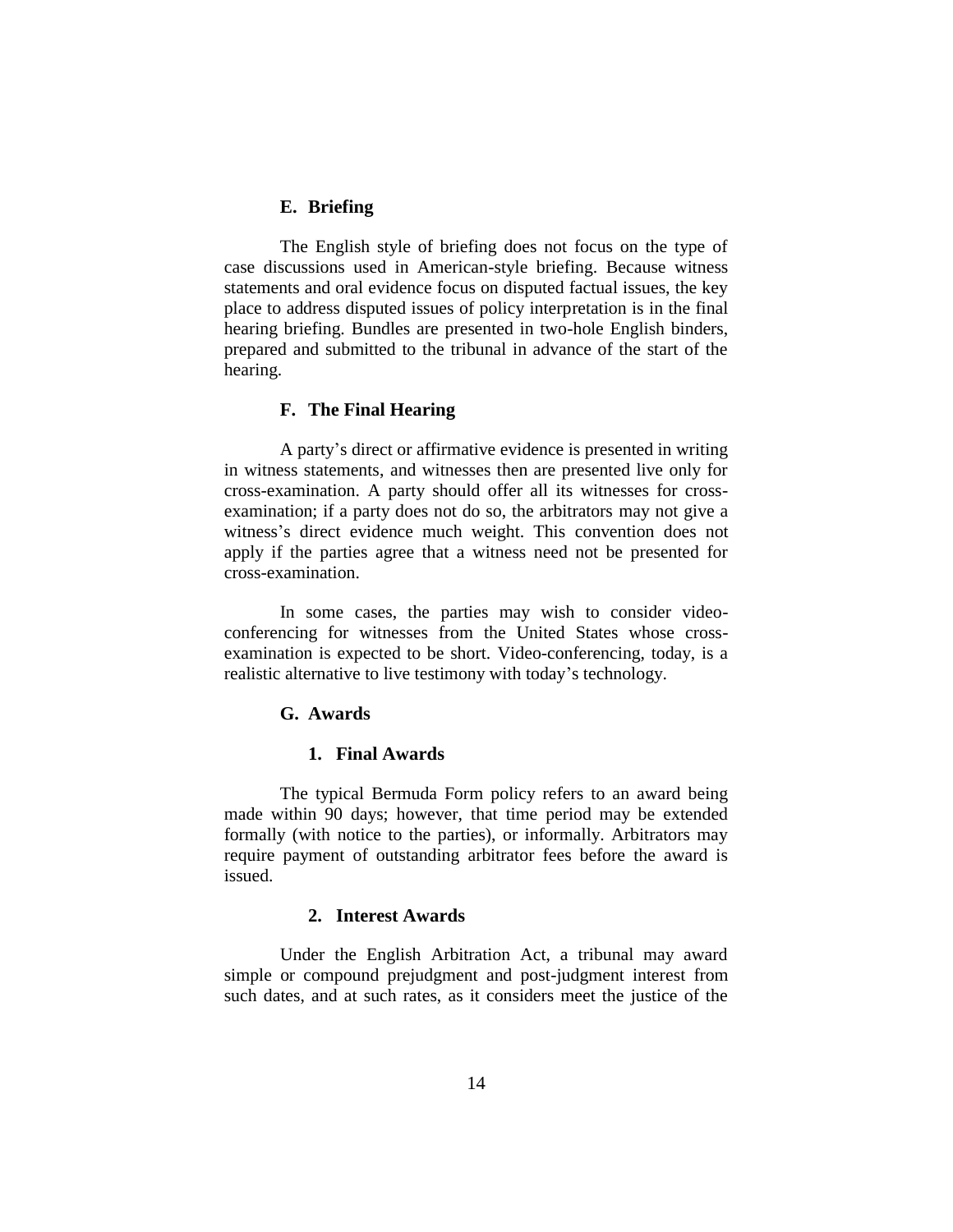#### **E. Briefing**

The English style of briefing does not focus on the type of case discussions used in American-style briefing. Because witness statements and oral evidence focus on disputed factual issues, the key place to address disputed issues of policy interpretation is in the final hearing briefing. Bundles are presented in two-hole English binders, prepared and submitted to the tribunal in advance of the start of the hearing.

### **F. The Final Hearing**

A party's direct or affirmative evidence is presented in writing in witness statements, and witnesses then are presented live only for cross-examination. A party should offer all its witnesses for crossexamination; if a party does not do so, the arbitrators may not give a witness's direct evidence much weight. This convention does not apply if the parties agree that a witness need not be presented for cross-examination.

In some cases, the parties may wish to consider videoconferencing for witnesses from the United States whose crossexamination is expected to be short. Video-conferencing, today, is a realistic alternative to live testimony with today's technology.

## **G. Awards**

### **1. Final Awards**

The typical Bermuda Form policy refers to an award being made within 90 days; however, that time period may be extended formally (with notice to the parties), or informally. Arbitrators may require payment of outstanding arbitrator fees before the award is issued.

### **2. Interest Awards**

Under the English Arbitration Act, a tribunal may award simple or compound prejudgment and post-judgment interest from such dates, and at such rates, as it considers meet the justice of the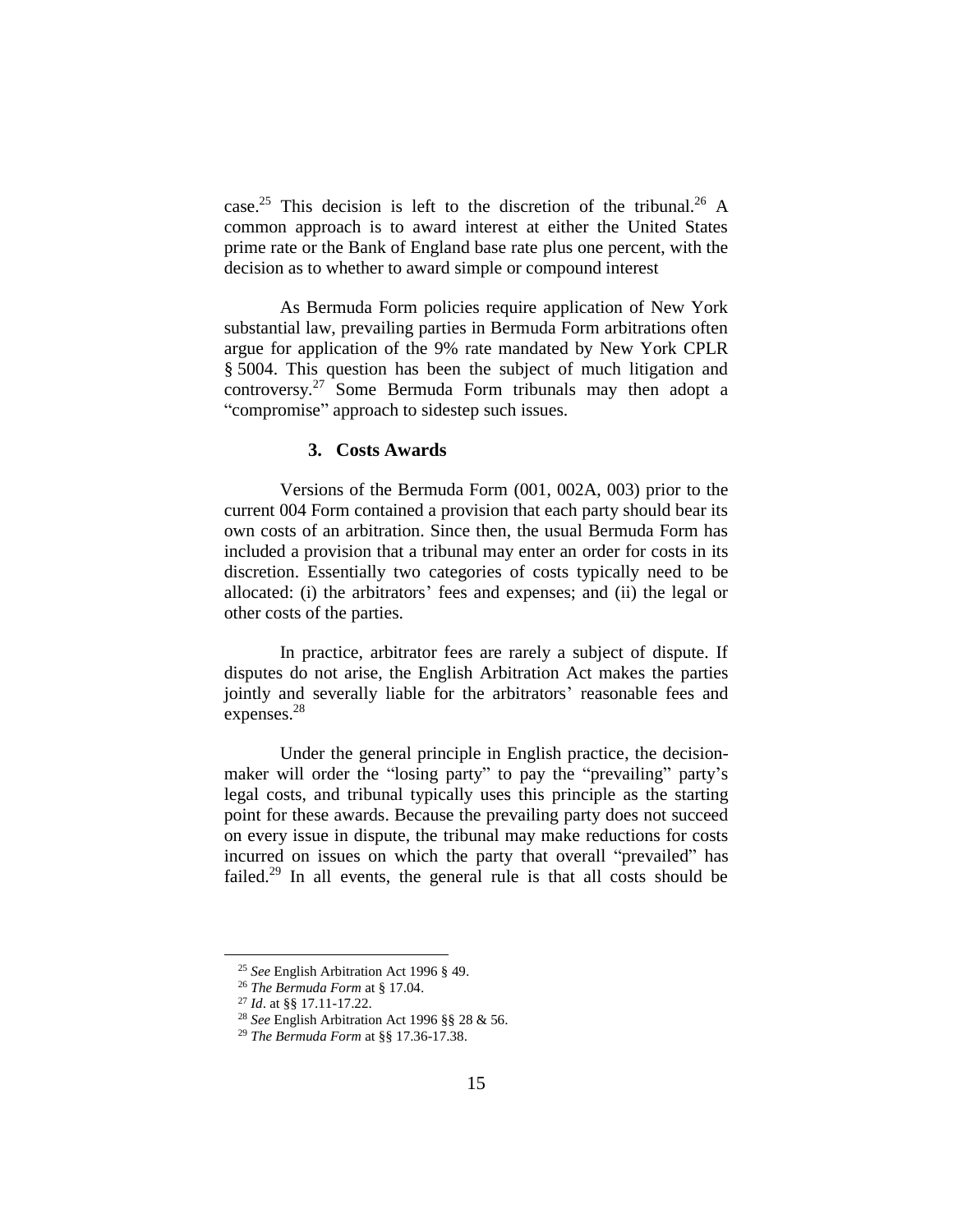case.<sup>25</sup> This decision is left to the discretion of the tribunal.<sup>26</sup> A common approach is to award interest at either the United States prime rate or the Bank of England base rate plus one percent, with the decision as to whether to award simple or compound interest

As Bermuda Form policies require application of New York substantial law, prevailing parties in Bermuda Form arbitrations often argue for application of the 9% rate mandated by New York CPLR § 5004. This question has been the subject of much litigation and controversy.<sup>27</sup> Some Bermuda Form tribunals may then adopt a "compromise" approach to sidestep such issues.

#### **3. Costs Awards**

Versions of the Bermuda Form (001, 002A, 003) prior to the current 004 Form contained a provision that each party should bear its own costs of an arbitration. Since then, the usual Bermuda Form has included a provision that a tribunal may enter an order for costs in its discretion. Essentially two categories of costs typically need to be allocated: (i) the arbitrators' fees and expenses; and (ii) the legal or other costs of the parties.

In practice, arbitrator fees are rarely a subject of dispute. If disputes do not arise, the English Arbitration Act makes the parties jointly and severally liable for the arbitrators' reasonable fees and expenses.<sup>28</sup>

Under the general principle in English practice, the decisionmaker will order the "losing party" to pay the "prevailing" party's legal costs, and tribunal typically uses this principle as the starting point for these awards. Because the prevailing party does not succeed on every issue in dispute, the tribunal may make reductions for costs incurred on issues on which the party that overall "prevailed" has failed.<sup>29</sup> In all events, the general rule is that all costs should be

<sup>25</sup> *See* English Arbitration Act 1996 § 49.

<sup>26</sup> *The Bermuda Form* at § 17.04.

<sup>27</sup> *Id*. at §§ 17.11-17.22.

<sup>28</sup> *See* English Arbitration Act 1996 §§ 28 & 56.

<sup>29</sup> *The Bermuda Form* at §§ 17.36-17.38.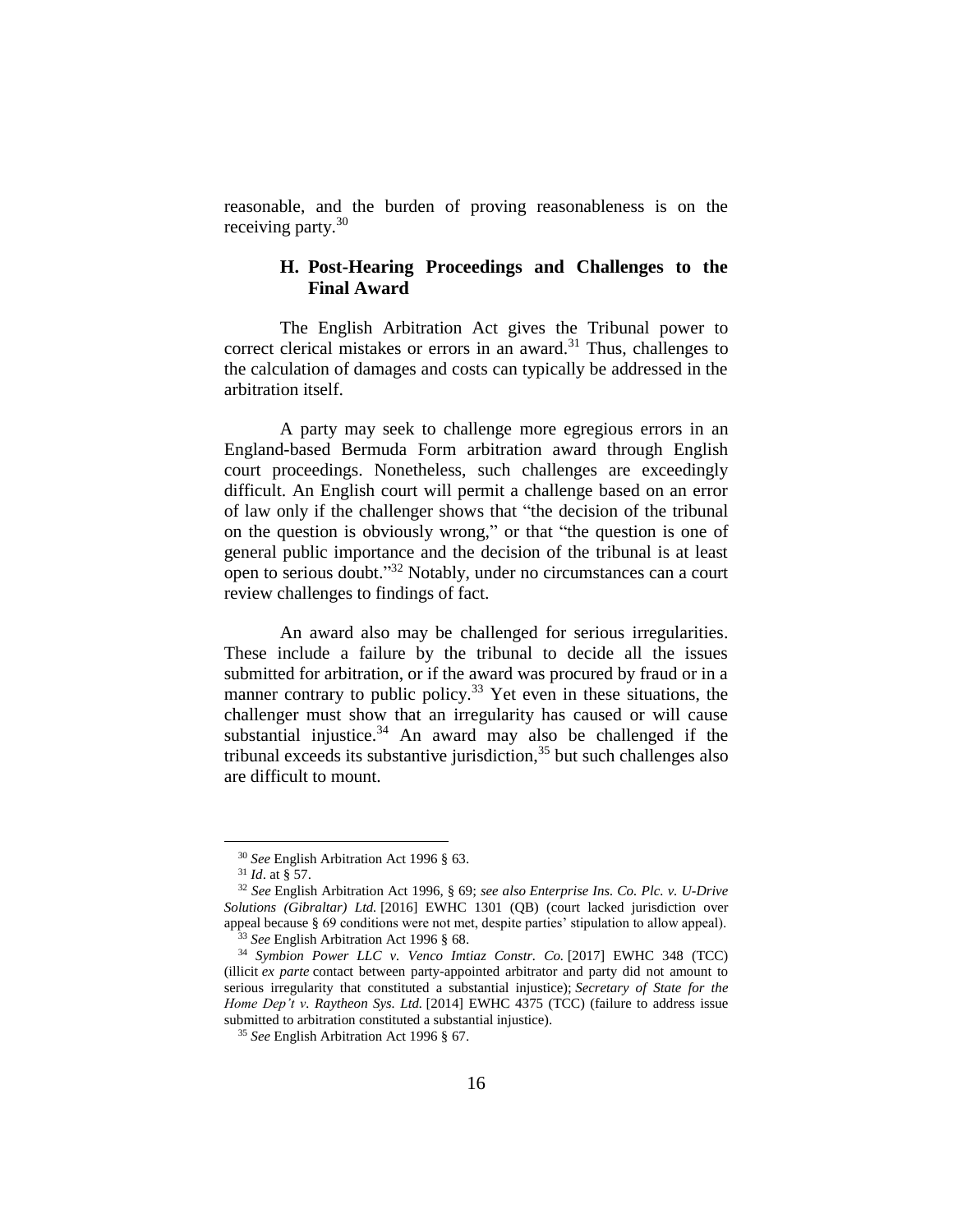reasonable, and the burden of proving reasonableness is on the receiving party.<sup>30</sup>

## **H. Post-Hearing Proceedings and Challenges to the Final Award**

The English Arbitration Act gives the Tribunal power to correct clerical mistakes or errors in an award.<sup>31</sup> Thus, challenges to the calculation of damages and costs can typically be addressed in the arbitration itself.

A party may seek to challenge more egregious errors in an England-based Bermuda Form arbitration award through English court proceedings. Nonetheless, such challenges are exceedingly difficult. An English court will permit a challenge based on an error of law only if the challenger shows that "the decision of the tribunal on the question is obviously wrong," or that "the question is one of general public importance and the decision of the tribunal is at least open to serious doubt." <sup>32</sup> Notably, under no circumstances can a court review challenges to findings of fact.

An award also may be challenged for serious irregularities. These include a failure by the tribunal to decide all the issues submitted for arbitration, or if the award was procured by fraud or in a manner contrary to public policy.<sup>33</sup> Yet even in these situations, the challenger must show that an irregularity has caused or will cause substantial injustice. $34$  An award may also be challenged if the tribunal exceeds its substantive jurisdiction, $35$  but such challenges also are difficult to mount.

<sup>30</sup> *See* English Arbitration Act 1996 § 63.

<sup>31</sup> *Id*. at § 57.

<sup>32</sup> *See* English Arbitration Act 1996, § 69; *see also Enterprise Ins. Co. Plc. v. U-Drive Solutions (Gibraltar) Ltd.* [2016] EWHC 1301 (QB) (court lacked jurisdiction over appeal because § 69 conditions were not met, despite parties' stipulation to allow appeal). <sup>33</sup> See English Arbitration Act 1996 § 68.

<sup>34</sup> *Symbion Power LLC v. Venco Imtiaz Constr. Co.* [2017] EWHC 348 (TCC) (illicit *ex parte* contact between party-appointed arbitrator and party did not amount to serious irregularity that constituted a substantial injustice); *Secretary of State for the Home Dep't v. Raytheon Sys. Ltd.* [2014] EWHC 4375 (TCC) (failure to address issue submitted to arbitration constituted a substantial injustice).

<sup>35</sup> *See* English Arbitration Act 1996 § 67.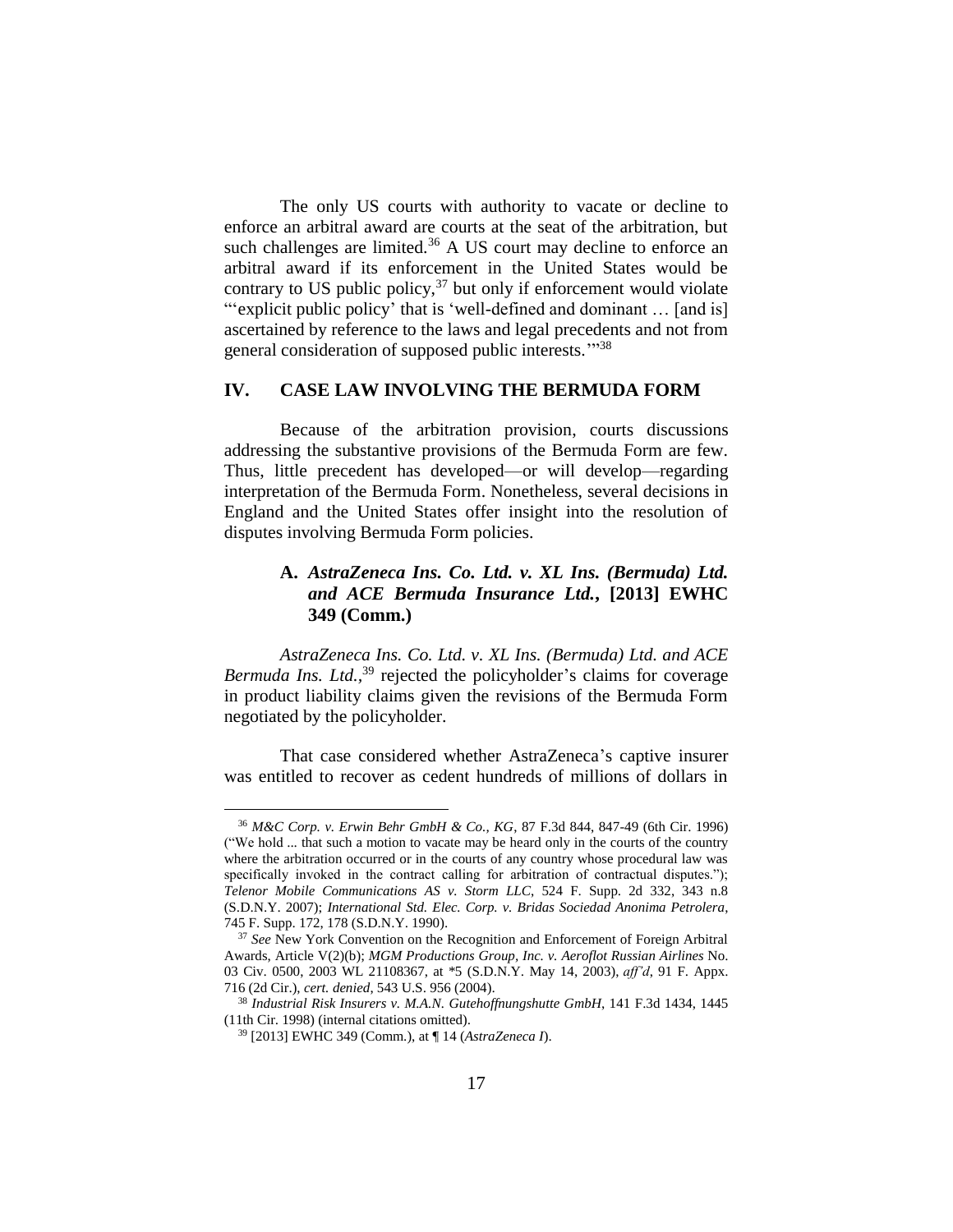The only US courts with authority to vacate or decline to enforce an arbitral award are courts at the seat of the arbitration, but such challenges are limited.<sup>36</sup> A US court may decline to enforce an arbitral award if its enforcement in the United States would be contrary to US public policy, $37$  but only if enforcement would violate "'explicit public policy' that is 'well-defined and dominant ... [and is] ascertained by reference to the laws and legal precedents and not from general consideration of supposed public interests."<sup>38</sup>

### **IV. CASE LAW INVOLVING THE BERMUDA FORM**

Because of the arbitration provision, courts discussions addressing the substantive provisions of the Bermuda Form are few. Thus, little precedent has developed—or will develop—regarding interpretation of the Bermuda Form. Nonetheless, several decisions in England and the United States offer insight into the resolution of disputes involving Bermuda Form policies.

## **A.** *AstraZeneca Ins. Co. Ltd. v. XL Ins. (Bermuda) Ltd. and ACE Bermuda Insurance Ltd.***, [2013] EWHC 349 (Comm.)**

*AstraZeneca Ins. Co. Ltd. v. XL Ins. (Bermuda) Ltd. and ACE Bermuda Ins. Ltd.,* <sup>39</sup> rejected the policyholder's claims for coverage in product liability claims given the revisions of the Bermuda Form negotiated by the policyholder.

That case considered whether AstraZeneca's captive insurer was entitled to recover as cedent hundreds of millions of dollars in

<sup>36</sup> *M&C Corp. v. Erwin Behr GmbH & Co., KG*, 87 F.3d 844, 847-49 (6th Cir. 1996) ("We hold ... that such a motion to vacate may be heard only in the courts of the country where the arbitration occurred or in the courts of any country whose procedural law was specifically invoked in the contract calling for arbitration of contractual disputes."); *Telenor Mobile Communications AS v. Storm LLC*, 524 F. Supp. 2d 332, 343 n.8 (S.D.N.Y. 2007); *International Std. Elec. Corp. v. Bridas Sociedad Anonima Petrolera*, 745 F. Supp. 172, 178 (S.D.N.Y. 1990).

<sup>37</sup> *See* New York Convention on the Recognition and Enforcement of Foreign Arbitral Awards, Article V(2)(b); *MGM Productions Group, Inc. v. Aeroflot Russian Airlines* No. 03 Civ. 0500, 2003 WL 21108367, at \*5 (S.D.N.Y. May 14, 2003), *aff'd*, 91 F. Appx. 716 (2d Cir.), *cert. denied*, 543 U.S. 956 (2004).

<sup>38</sup> *Industrial Risk Insurers v. M.A.N. Gutehoffnungshutte GmbH*, 141 F.3d 1434, 1445 (11th Cir. 1998) (internal citations omitted).

<sup>39</sup> [2013] EWHC 349 (Comm.), at ¶ 14 (*AstraZeneca I*).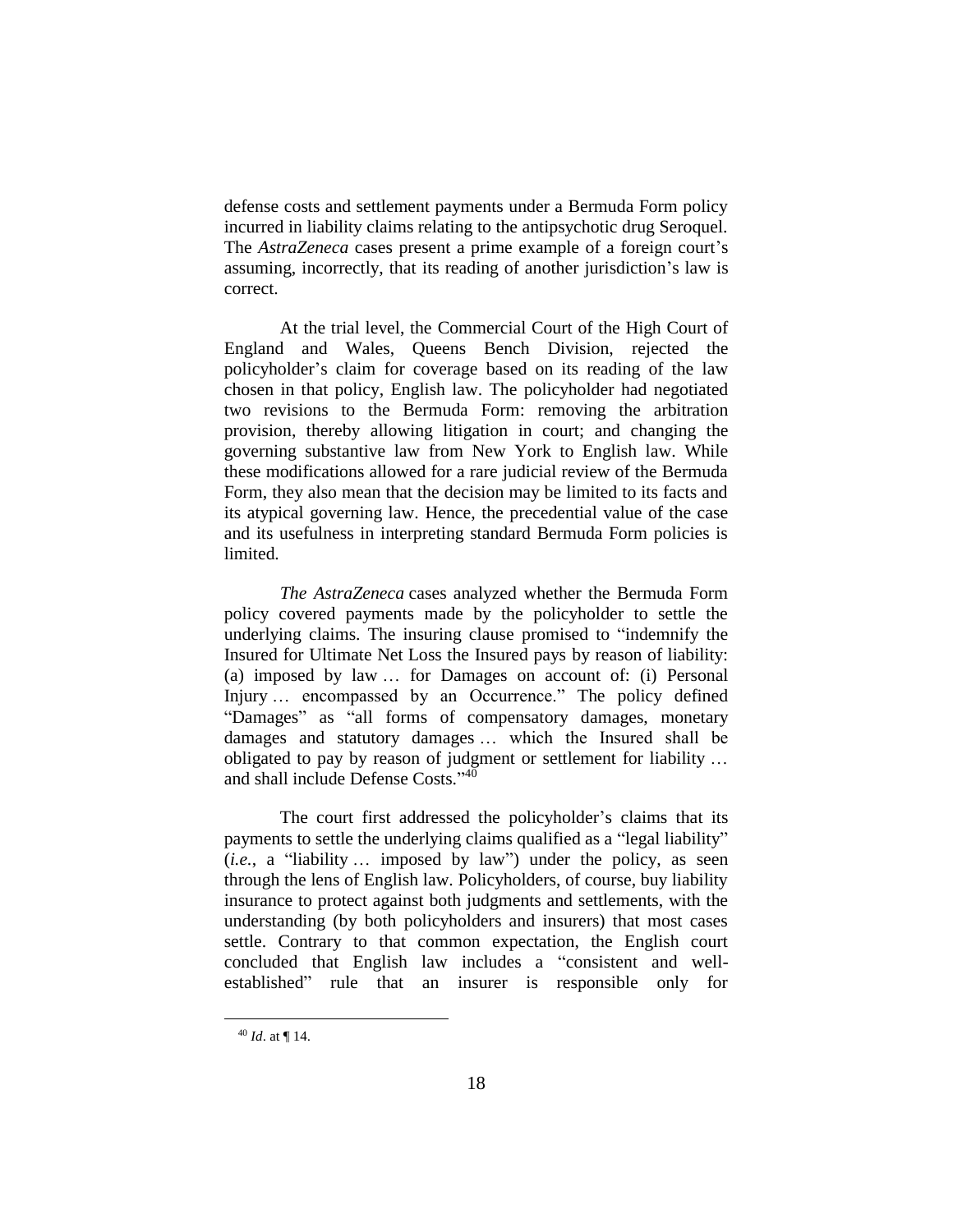defense costs and settlement payments under a Bermuda Form policy incurred in liability claims relating to the antipsychotic drug Seroquel. The *AstraZeneca* cases present a prime example of a foreign court's assuming, incorrectly, that its reading of another jurisdiction's law is correct.

At the trial level, the Commercial Court of the High Court of England and Wales, Queens Bench Division, rejected the policyholder's claim for coverage based on its reading of the law chosen in that policy, English law. The policyholder had negotiated two revisions to the Bermuda Form: removing the arbitration provision, thereby allowing litigation in court; and changing the governing substantive law from New York to English law. While these modifications allowed for a rare judicial review of the Bermuda Form, they also mean that the decision may be limited to its facts and its atypical governing law. Hence, the precedential value of the case and its usefulness in interpreting standard Bermuda Form policies is limited.

*The AstraZeneca* cases analyzed whether the Bermuda Form policy covered payments made by the policyholder to settle the underlying claims. The insuring clause promised to "indemnify the Insured for Ultimate Net Loss the Insured pays by reason of liability: (a) imposed by law … for Damages on account of: (i) Personal Injury … encompassed by an Occurrence." The policy defined "Damages" as "all forms of compensatory damages, monetary damages and statutory damages … which the Insured shall be obligated to pay by reason of judgment or settlement for liability … and shall include Defense Costs."<sup>40</sup>

The court first addressed the policyholder's claims that its payments to settle the underlying claims qualified as a "legal liability" (*i.e.*, a "liability … imposed by law") under the policy, as seen through the lens of English law. Policyholders, of course, buy liability insurance to protect against both judgments and settlements, with the understanding (by both policyholders and insurers) that most cases settle. Contrary to that common expectation, the English court concluded that English law includes a "consistent and wellestablished" rule that an insurer is responsible only for

<sup>40</sup> *Id*. at ¶ 14.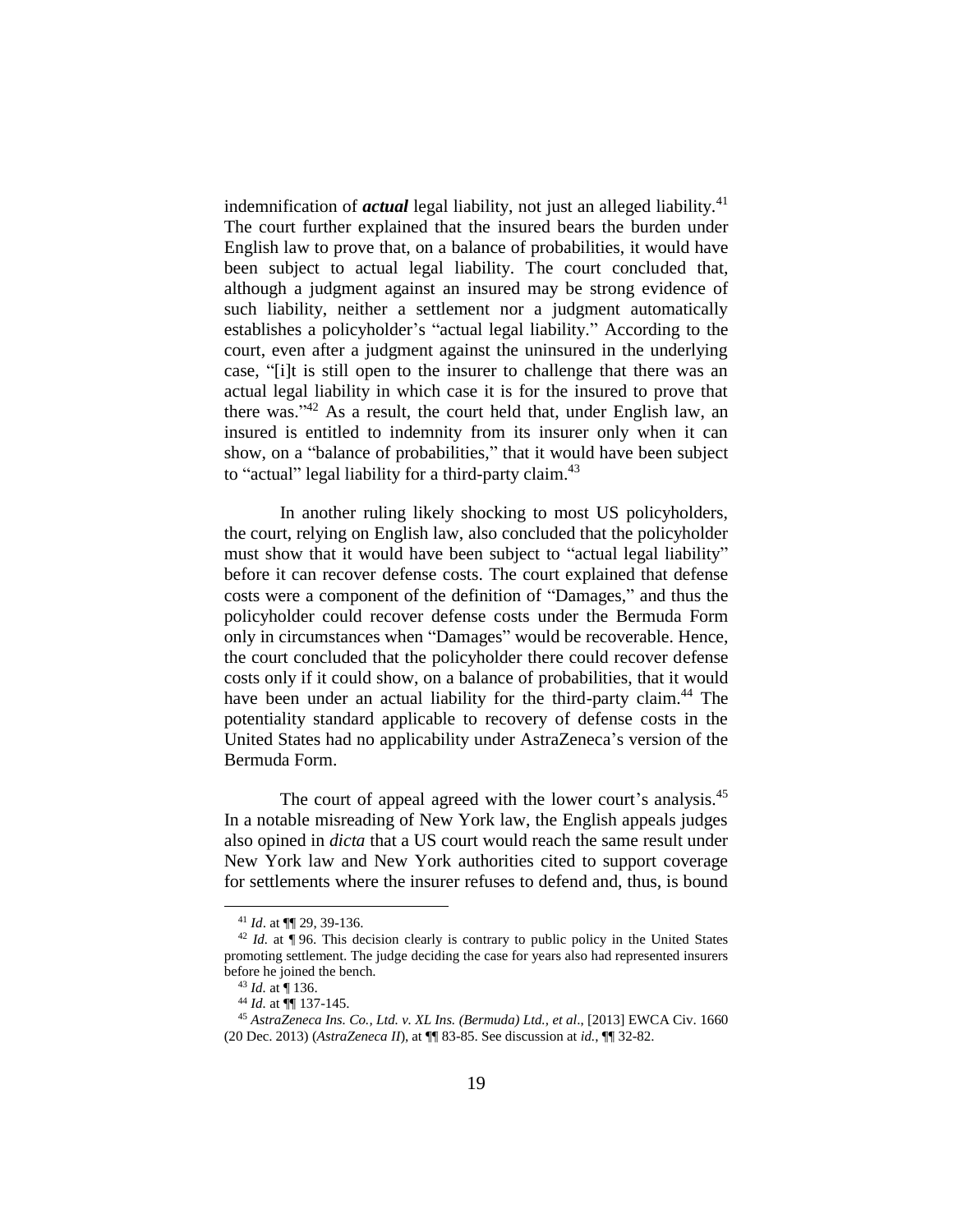indemnification of *actual* legal liability, not just an alleged liability.<sup>41</sup> The court further explained that the insured bears the burden under English law to prove that, on a balance of probabilities, it would have been subject to actual legal liability. The court concluded that, although a judgment against an insured may be strong evidence of such liability, neither a settlement nor a judgment automatically establishes a policyholder's "actual legal liability." According to the court, even after a judgment against the uninsured in the underlying case, "[i]t is still open to the insurer to challenge that there was an actual legal liability in which case it is for the insured to prove that there was."<sup>42</sup> As a result, the court held that, under English law, an insured is entitled to indemnity from its insurer only when it can show, on a "balance of probabilities," that it would have been subject to "actual" legal liability for a third-party claim. $43$ 

In another ruling likely shocking to most US policyholders, the court, relying on English law, also concluded that the policyholder must show that it would have been subject to "actual legal liability" before it can recover defense costs. The court explained that defense costs were a component of the definition of "Damages," and thus the policyholder could recover defense costs under the Bermuda Form only in circumstances when "Damages" would be recoverable. Hence, the court concluded that the policyholder there could recover defense costs only if it could show, on a balance of probabilities, that it would have been under an actual liability for the third-party claim.<sup>44</sup> The potentiality standard applicable to recovery of defense costs in the United States had no applicability under AstraZeneca's version of the Bermuda Form.

The court of appeal agreed with the lower court's analysis.<sup>45</sup> In a notable misreading of New York law, the English appeals judges also opined in *dicta* that a US court would reach the same result under New York law and New York authorities cited to support coverage for settlements where the insurer refuses to defend and, thus, is bound

<sup>41</sup> *Id*. at ¶¶ 29, 39-136.

<sup>&</sup>lt;sup>42</sup> *Id.* at  $\overline{\P}$  96. This decision clearly is contrary to public policy in the United States promoting settlement. The judge deciding the case for years also had represented insurers before he joined the bench.

<sup>43</sup> *Id.* at ¶ 136.

<sup>44</sup> *Id.* at ¶¶ 137-145.

<sup>45</sup> *AstraZeneca Ins. Co., Ltd. v. XL Ins. (Bermuda) Ltd., et al*., [2013] EWCA Civ. 1660 (20 Dec. 2013) (*AstraZeneca II*), at ¶¶ 83-85. See discussion at *id.*, ¶¶ 32-82.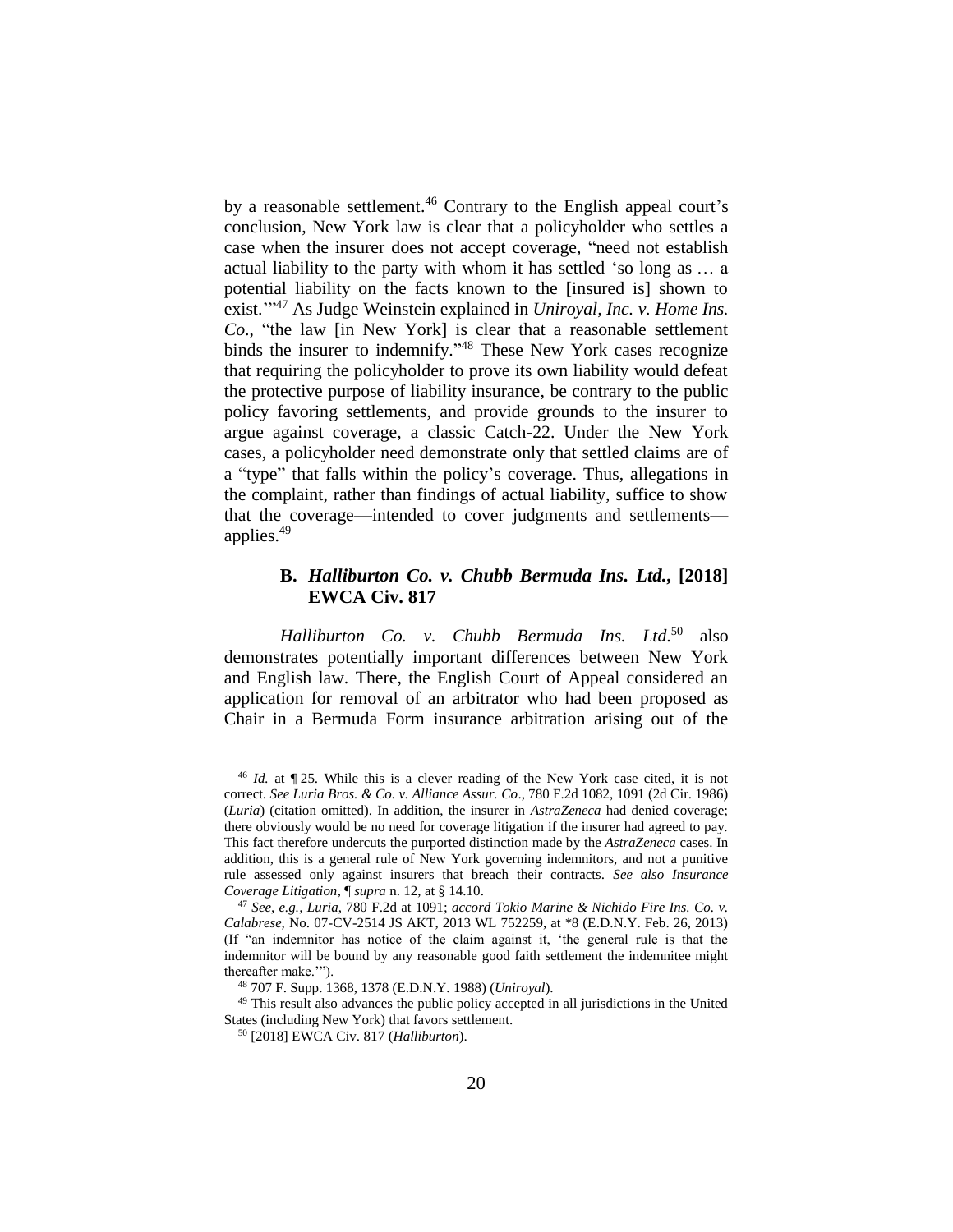by a reasonable settlement.<sup>46</sup> Contrary to the English appeal court's conclusion, New York law is clear that a policyholder who settles a case when the insurer does not accept coverage, "need not establish actual liability to the party with whom it has settled 'so long as … a potential liability on the facts known to the [insured is] shown to exist.'" <sup>47</sup> As Judge Weinstein explained in *Uniroyal, Inc. v. Home Ins. Co*., "the law [in New York] is clear that a reasonable settlement binds the insurer to indemnify."<sup>48</sup> These New York cases recognize that requiring the policyholder to prove its own liability would defeat the protective purpose of liability insurance, be contrary to the public policy favoring settlements, and provide grounds to the insurer to argue against coverage, a classic Catch-22. Under the New York cases, a policyholder need demonstrate only that settled claims are of a "type" that falls within the policy's coverage. Thus, allegations in the complaint, rather than findings of actual liability, suffice to show that the coverage—intended to cover judgments and settlements applies.<sup>49</sup>

## **B.** *Halliburton Co. v. Chubb Bermuda Ins. Ltd.***, [2018] EWCA Civ. 817**

*Halliburton Co. v. Chubb Bermuda Ins. Ltd*. <sup>50</sup> also demonstrates potentially important differences between New York and English law. There, the English Court of Appeal considered an application for removal of an arbitrator who had been proposed as Chair in a Bermuda Form insurance arbitration arising out of the

<sup>46</sup> *Id.* at ¶ 25. While this is a clever reading of the New York case cited, it is not correct. *See Luria Bros. & Co. v. Alliance Assur. Co*., 780 F.2d 1082, 1091 (2d Cir. 1986) (*Luria*) (citation omitted). In addition, the insurer in *AstraZeneca* had denied coverage; there obviously would be no need for coverage litigation if the insurer had agreed to pay. This fact therefore undercuts the purported distinction made by the *AstraZeneca* cases. In addition, this is a general rule of New York governing indemnitors, and not a punitive rule assessed only against insurers that breach their contracts. *See also Insurance Coverage Litigation*, ¶ *supra* n. 12, at § 14.10.

<sup>47</sup> *See, e.g., Luria*, 780 F.2d at 1091; *accord Tokio Marine & Nichido Fire Ins. Co. v. Calabrese,* No. 07-CV-2514 JS AKT, 2013 WL 752259, at \*8 (E.D.N.Y. Feb. 26, 2013) (If "an indemnitor has notice of the claim against it, 'the general rule is that the indemnitor will be bound by any reasonable good faith settlement the indemnitee might thereafter make.'").

<sup>48</sup> 707 F. Supp. 1368, 1378 (E.D.N.Y. 1988) (*Uniroyal*).

<sup>49</sup> This result also advances the public policy accepted in all jurisdictions in the United States (including New York) that favors settlement.

<sup>50</sup> [2018] EWCA Civ. 817 (*Halliburton*).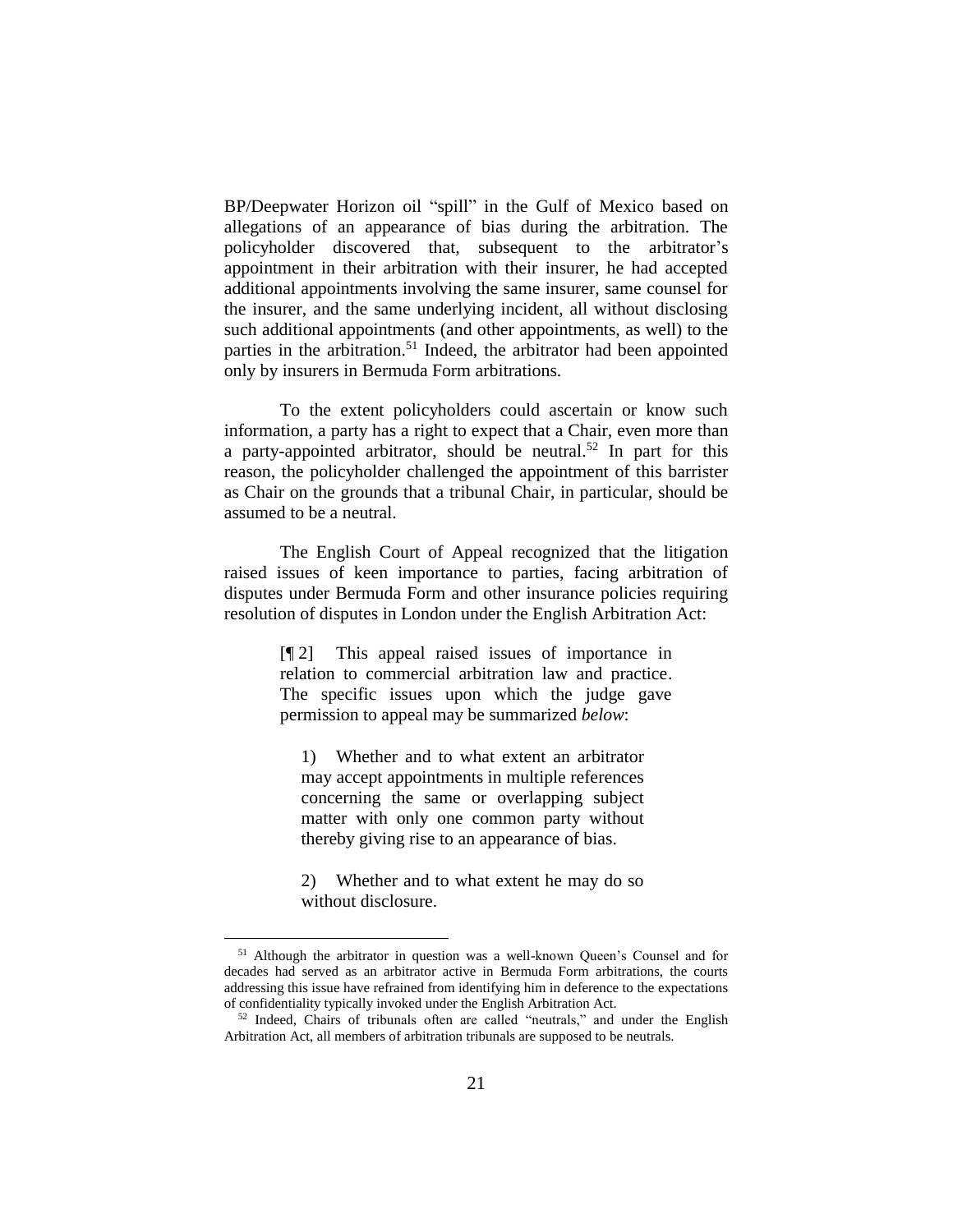BP/Deepwater Horizon oil "spill" in the Gulf of Mexico based on allegations of an appearance of bias during the arbitration. The policyholder discovered that, subsequent to the arbitrator's appointment in their arbitration with their insurer, he had accepted additional appointments involving the same insurer, same counsel for the insurer, and the same underlying incident, all without disclosing such additional appointments (and other appointments, as well) to the parties in the arbitration.<sup>51</sup> Indeed, the arbitrator had been appointed only by insurers in Bermuda Form arbitrations.

To the extent policyholders could ascertain or know such information, a party has a right to expect that a Chair, even more than a party-appointed arbitrator, should be neutral.<sup>52</sup> In part for this reason, the policyholder challenged the appointment of this barrister as Chair on the grounds that a tribunal Chair, in particular, should be assumed to be a neutral.

The English Court of Appeal recognized that the litigation raised issues of keen importance to parties, facing arbitration of disputes under Bermuda Form and other insurance policies requiring resolution of disputes in London under the English Arbitration Act:

> [¶ 2] This appeal raised issues of importance in relation to commercial arbitration law and practice. The specific issues upon which the judge gave permission to appeal may be summarized *below*:

1) Whether and to what extent an arbitrator may accept appointments in multiple references concerning the same or overlapping subject matter with only one common party without thereby giving rise to an appearance of bias.

2) Whether and to what extent he may do so without disclosure.

<sup>51</sup> Although the arbitrator in question was a well-known Queen's Counsel and for decades had served as an arbitrator active in Bermuda Form arbitrations, the courts addressing this issue have refrained from identifying him in deference to the expectations of confidentiality typically invoked under the English Arbitration Act.

<sup>52</sup> Indeed, Chairs of tribunals often are called "neutrals," and under the English Arbitration Act, all members of arbitration tribunals are supposed to be neutrals.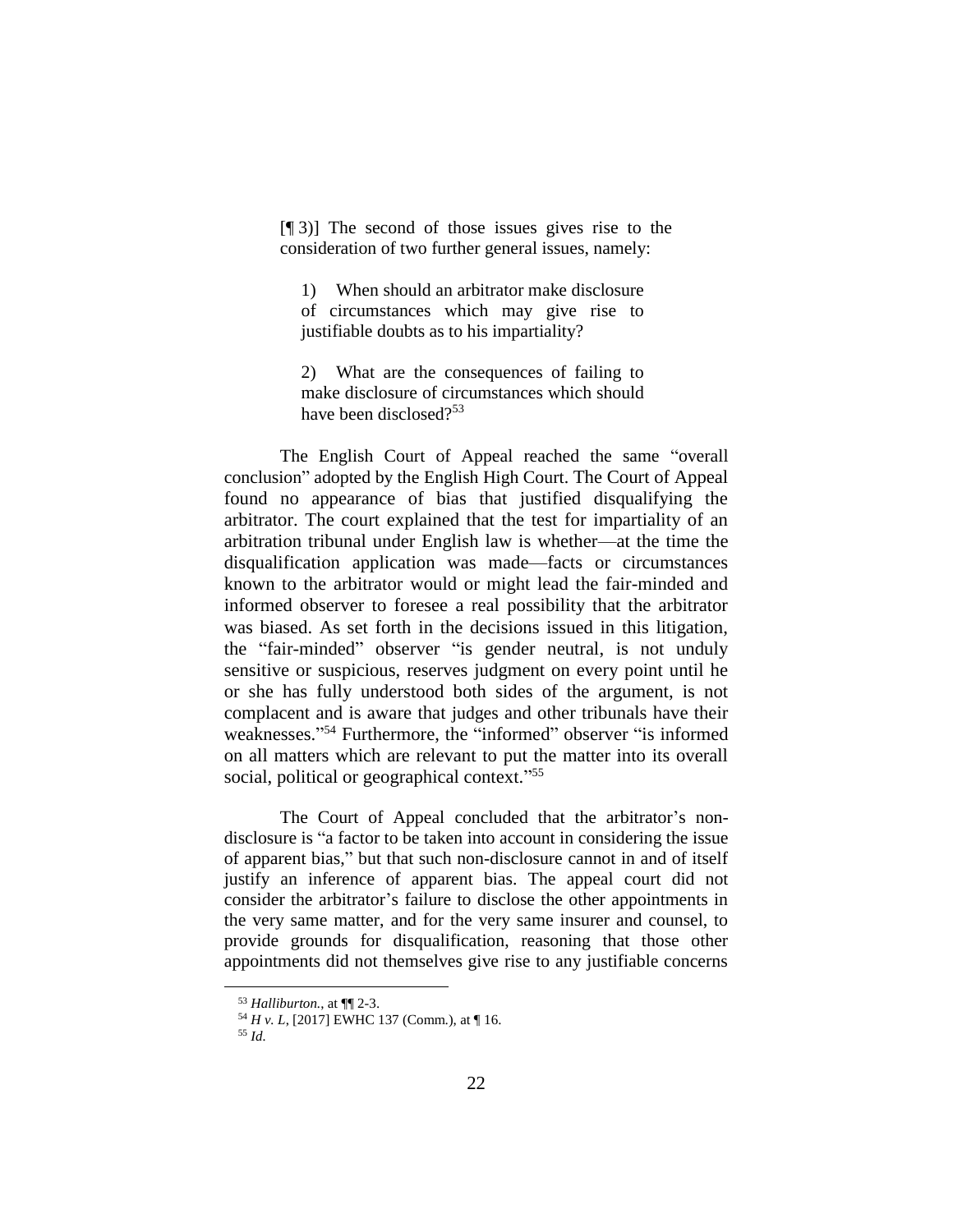[¶ 3)] The second of those issues gives rise to the consideration of two further general issues, namely:

1) When should an arbitrator make disclosure of circumstances which may give rise to justifiable doubts as to his impartiality?

2) What are the consequences of failing to make disclosure of circumstances which should have been disclosed?<sup>53</sup>

The English Court of Appeal reached the same "overall conclusion" adopted by the English High Court. The Court of Appeal found no appearance of bias that justified disqualifying the arbitrator. The court explained that the test for impartiality of an arbitration tribunal under English law is whether—at the time the disqualification application was made—facts or circumstances known to the arbitrator would or might lead the fair-minded and informed observer to foresee a real possibility that the arbitrator was biased. As set forth in the decisions issued in this litigation, the "fair-minded" observer "is gender neutral, is not unduly sensitive or suspicious, reserves judgment on every point until he or she has fully understood both sides of the argument, is not complacent and is aware that judges and other tribunals have their weaknesses."<sup>54</sup> Furthermore, the "informed" observer "is informed on all matters which are relevant to put the matter into its overall social, political or geographical context."<sup>55</sup>

The Court of Appeal concluded that the arbitrator's nondisclosure is "a factor to be taken into account in considering the issue of apparent bias," but that such non-disclosure cannot in and of itself justify an inference of apparent bias. The appeal court did not consider the arbitrator's failure to disclose the other appointments in the very same matter, and for the very same insurer and counsel, to provide grounds for disqualification, reasoning that those other appointments did not themselves give rise to any justifiable concerns

<sup>55</sup> *Id.*

<sup>53</sup> *Halliburton.*, at ¶¶ 2-3.

<sup>54</sup> *H v. L*, [2017] EWHC 137 (Comm.), at ¶ 16.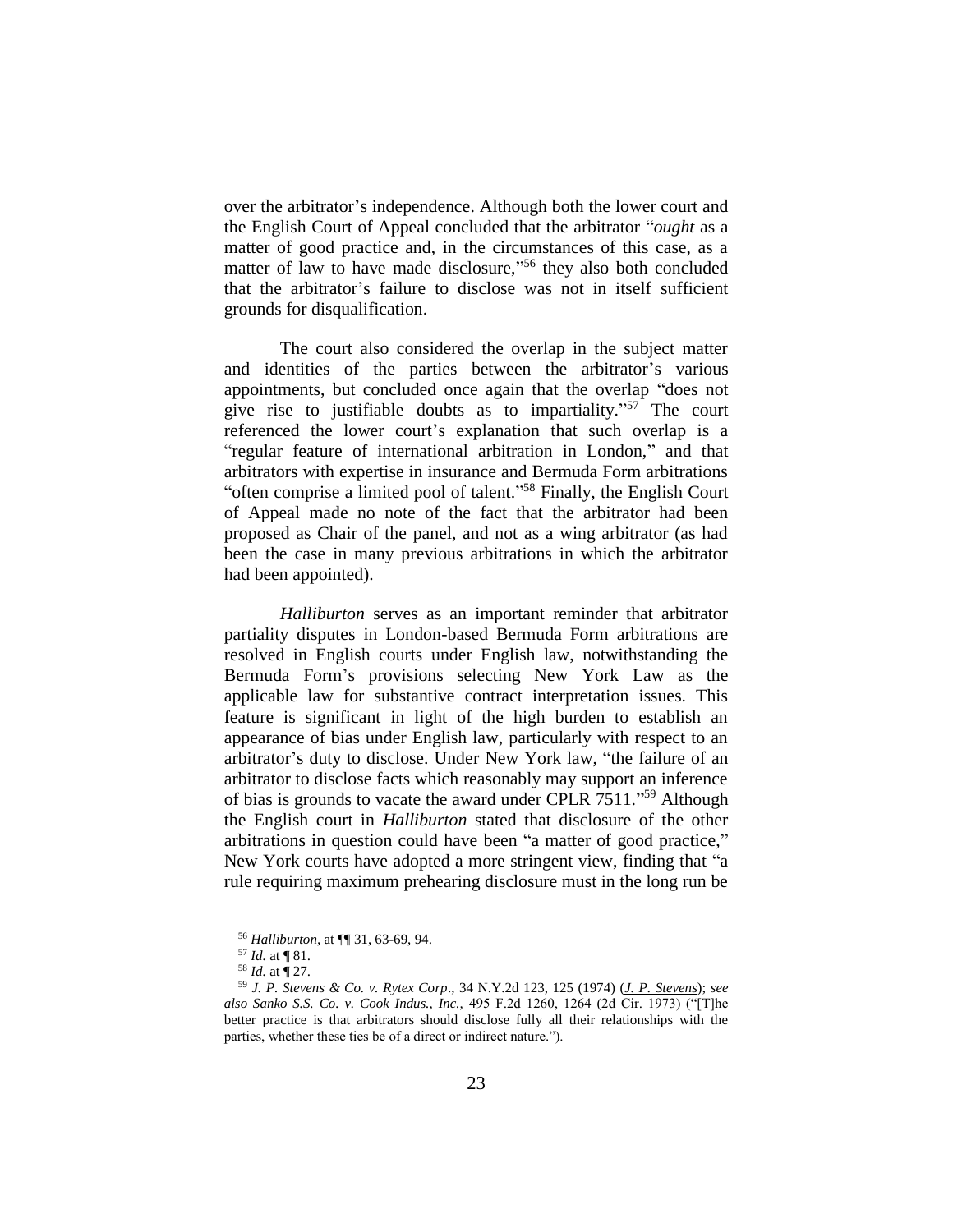over the arbitrator's independence. Although both the lower court and the English Court of Appeal concluded that the arbitrator "*ought* as a matter of good practice and, in the circumstances of this case, as a matter of law to have made disclosure,"<sup>56</sup> they also both concluded that the arbitrator's failure to disclose was not in itself sufficient grounds for disqualification.

The court also considered the overlap in the subject matter and identities of the parties between the arbitrator's various appointments, but concluded once again that the overlap "does not give rise to justifiable doubts as to impartiality." <sup>57</sup> The court referenced the lower court's explanation that such overlap is a "regular feature of international arbitration in London," and that arbitrators with expertise in insurance and Bermuda Form arbitrations "often comprise a limited pool of talent."<sup>58</sup> Finally, the English Court of Appeal made no note of the fact that the arbitrator had been proposed as Chair of the panel, and not as a wing arbitrator (as had been the case in many previous arbitrations in which the arbitrator had been appointed).

*Halliburton* serves as an important reminder that arbitrator partiality disputes in London-based Bermuda Form arbitrations are resolved in English courts under English law, notwithstanding the Bermuda Form's provisions selecting New York Law as the applicable law for substantive contract interpretation issues. This feature is significant in light of the high burden to establish an appearance of bias under English law, particularly with respect to an arbitrator's duty to disclose. Under New York law, "the failure of an arbitrator to disclose facts which reasonably may support an inference of bias is grounds to vacate the award under CPLR 7511."<sup>59</sup> Although the English court in *Halliburton* stated that disclosure of the other arbitrations in question could have been "a matter of good practice," New York courts have adopted a more stringent view, finding that "a rule requiring maximum prehearing disclosure must in the long run be

<sup>56</sup> *Halliburton,* at ¶¶ 31, 63-69, 94.

<sup>57</sup> *Id.* at ¶ 81.

<sup>58</sup> *Id.* at ¶ 27.

<sup>59</sup> *J. P. Stevens & Co. v. Rytex Corp*., 34 N.Y.2d 123, 125 (1974) (*J. P. Stevens*); *see also Sanko S.S. Co. v. Cook Indus., Inc.,* 495 F.2d 1260, 1264 (2d Cir. 1973) ("[T]he better practice is that arbitrators should disclose fully all their relationships with the parties, whether these ties be of a direct or indirect nature.").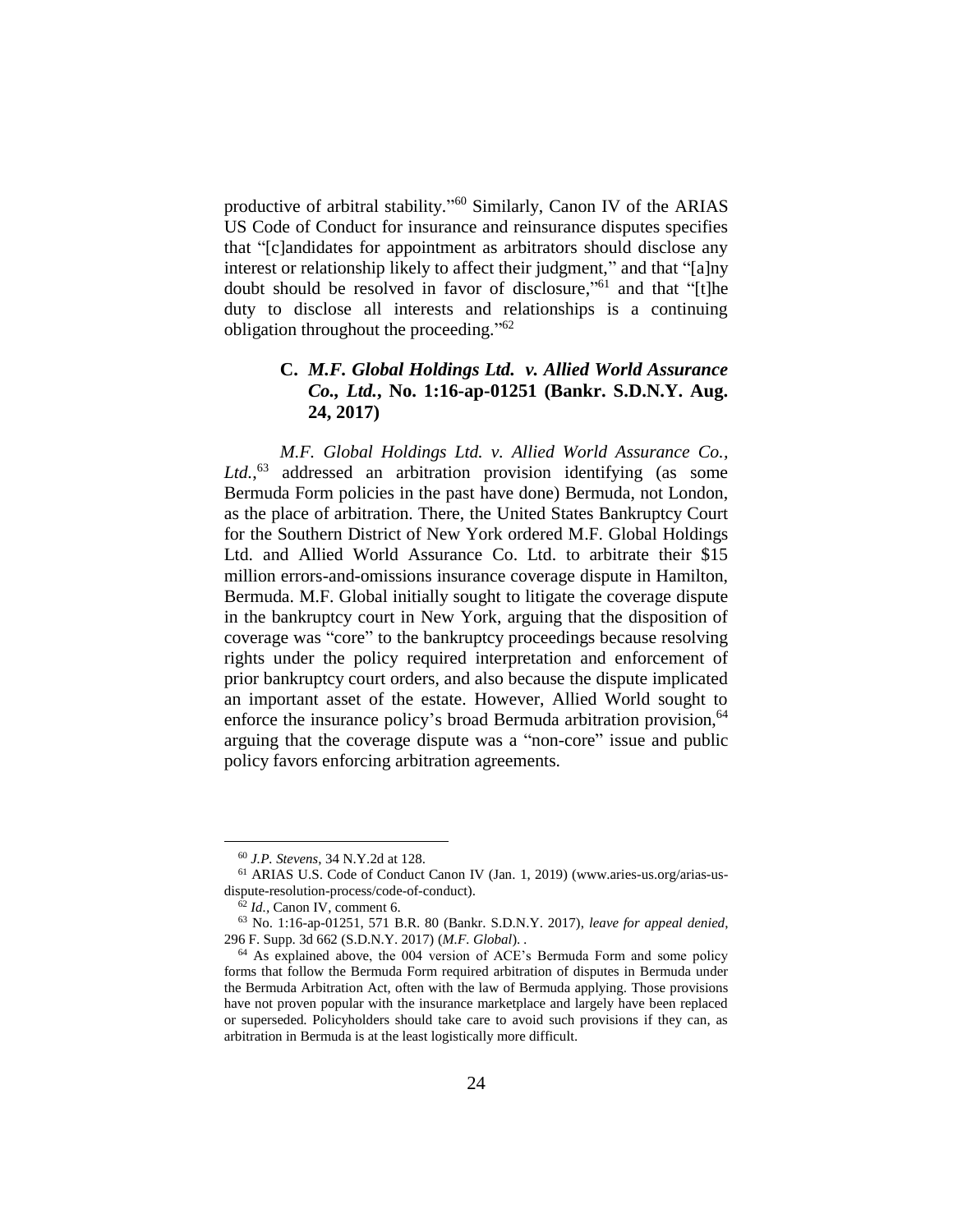productive of arbitral stability."<sup>60</sup> Similarly, Canon IV of the ARIAS US Code of Conduct for insurance and reinsurance disputes specifies that "[c]andidates for appointment as arbitrators should disclose any interest or relationship likely to affect their judgment," and that "[a]ny doubt should be resolved in favor of disclosure," <sup>61</sup> and that "[t]he duty to disclose all interests and relationships is a continuing obligation throughout the proceeding."<sup>62</sup>

## **C.** *M.F. Global Holdings Ltd. v. Allied World Assurance Co., Ltd.***, No. 1:16-ap-01251 (Bankr. S.D.N.Y. Aug. 24, 2017)**

*M.F. Global Holdings Ltd. v. Allied World Assurance Co.,* Ltd.,<sup>63</sup> addressed an arbitration provision identifying (as some Bermuda Form policies in the past have done) Bermuda, not London, as the place of arbitration. There, the United States Bankruptcy Court for the Southern District of New York ordered M.F. Global Holdings Ltd. and Allied World Assurance Co. Ltd. to arbitrate their \$15 million errors-and-omissions insurance coverage dispute in Hamilton, Bermuda. M.F. Global initially sought to litigate the coverage dispute in the bankruptcy court in New York, arguing that the disposition of coverage was "core" to the bankruptcy proceedings because resolving rights under the policy required interpretation and enforcement of prior bankruptcy court orders, and also because the dispute implicated an important asset of the estate. However, Allied World sought to enforce the insurance policy's broad Bermuda arbitration provision, <sup>64</sup> arguing that the coverage dispute was a "non-core" issue and public policy favors enforcing arbitration agreements.

<sup>60</sup> *J.P. Stevens*, 34 N.Y.2d at 128.

<sup>61</sup> ARIAS U.S. Code of Conduct Canon IV (Jan. 1, 2019) (www.aries-us.org/arias-usdispute-resolution-process/code-of-conduct).

<sup>62</sup> *Id.,* Canon IV, comment 6.

<sup>63</sup> No. 1:16-ap-01251, 571 B.R. 80 (Bankr. S.D.N.Y. 2017), *leave for appeal denied*, 296 F. Supp. 3d 662 (S.D.N.Y. 2017) (*M.F. Global*). *.* 

<sup>64</sup> As explained above, the 004 version of ACE's Bermuda Form and some policy forms that follow the Bermuda Form required arbitration of disputes in Bermuda under the Bermuda Arbitration Act, often with the law of Bermuda applying. Those provisions have not proven popular with the insurance marketplace and largely have been replaced or superseded. Policyholders should take care to avoid such provisions if they can, as arbitration in Bermuda is at the least logistically more difficult.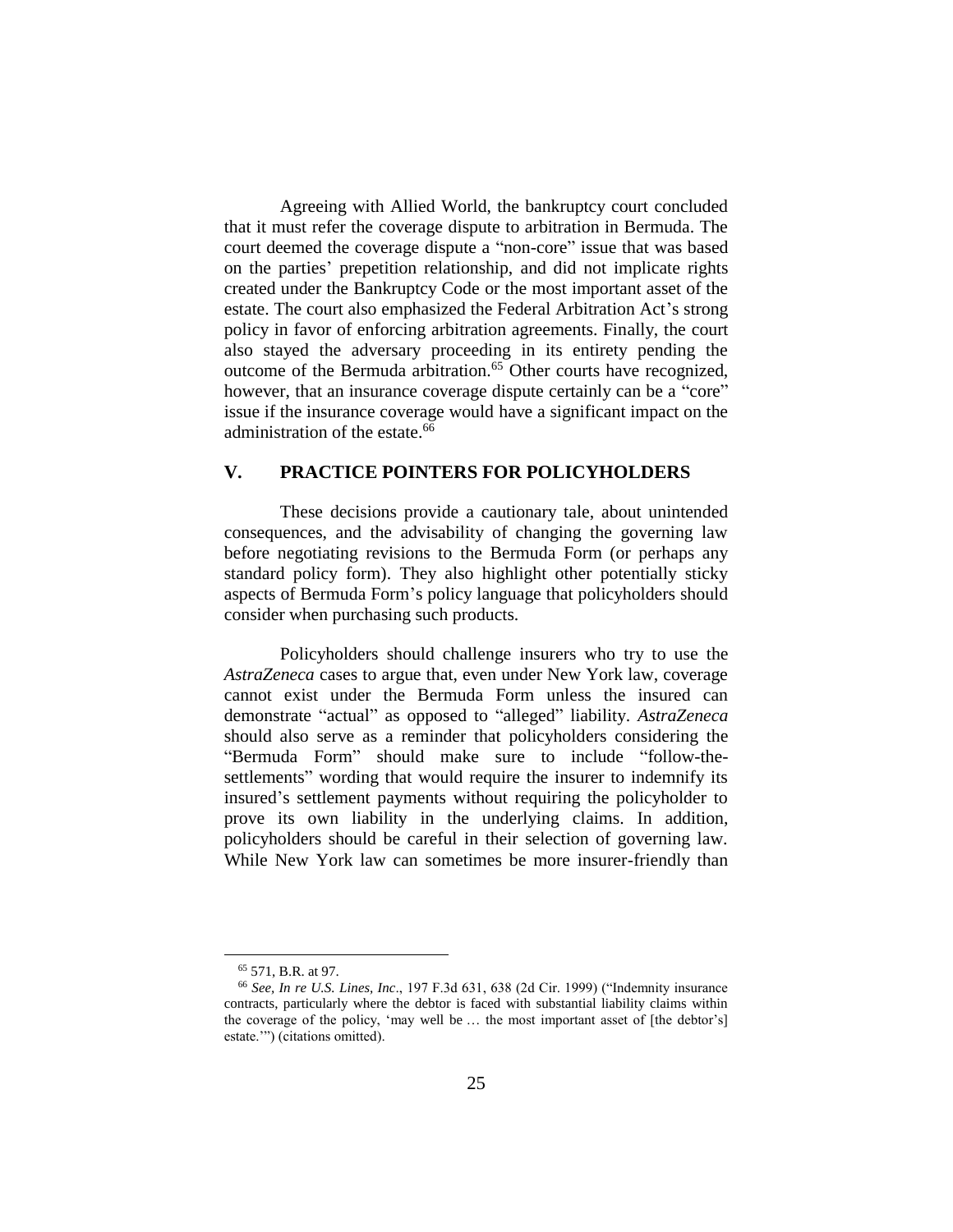Agreeing with Allied World, the bankruptcy court concluded that it must refer the coverage dispute to arbitration in Bermuda. The court deemed the coverage dispute a "non-core" issue that was based on the parties' prepetition relationship, and did not implicate rights created under the Bankruptcy Code or the most important asset of the estate. The court also emphasized the Federal Arbitration Act's strong policy in favor of enforcing arbitration agreements. Finally, the court also stayed the adversary proceeding in its entirety pending the outcome of the Bermuda arbitration.<sup>65</sup> Other courts have recognized, however, that an insurance coverage dispute certainly can be a "core" issue if the insurance coverage would have a significant impact on the administration of the estate. $66$ 

## **V. PRACTICE POINTERS FOR POLICYHOLDERS**

These decisions provide a cautionary tale, about unintended consequences, and the advisability of changing the governing law before negotiating revisions to the Bermuda Form (or perhaps any standard policy form). They also highlight other potentially sticky aspects of Bermuda Form's policy language that policyholders should consider when purchasing such products.

Policyholders should challenge insurers who try to use the *AstraZeneca* cases to argue that, even under New York law, coverage cannot exist under the Bermuda Form unless the insured can demonstrate "actual" as opposed to "alleged" liability. *AstraZeneca* should also serve as a reminder that policyholders considering the "Bermuda Form" should make sure to include "follow-thesettlements" wording that would require the insurer to indemnify its insured's settlement payments without requiring the policyholder to prove its own liability in the underlying claims. In addition, policyholders should be careful in their selection of governing law. While New York law can sometimes be more insurer-friendly than

<sup>65</sup> 571, B.R. at 97.

<sup>66</sup> *See, In re U.S. Lines, Inc*., 197 F.3d 631, 638 (2d Cir. 1999) ("Indemnity insurance contracts, particularly where the debtor is faced with substantial liability claims within the coverage of the policy, 'may well be … the most important asset of [the debtor's] estate.'") (citations omitted).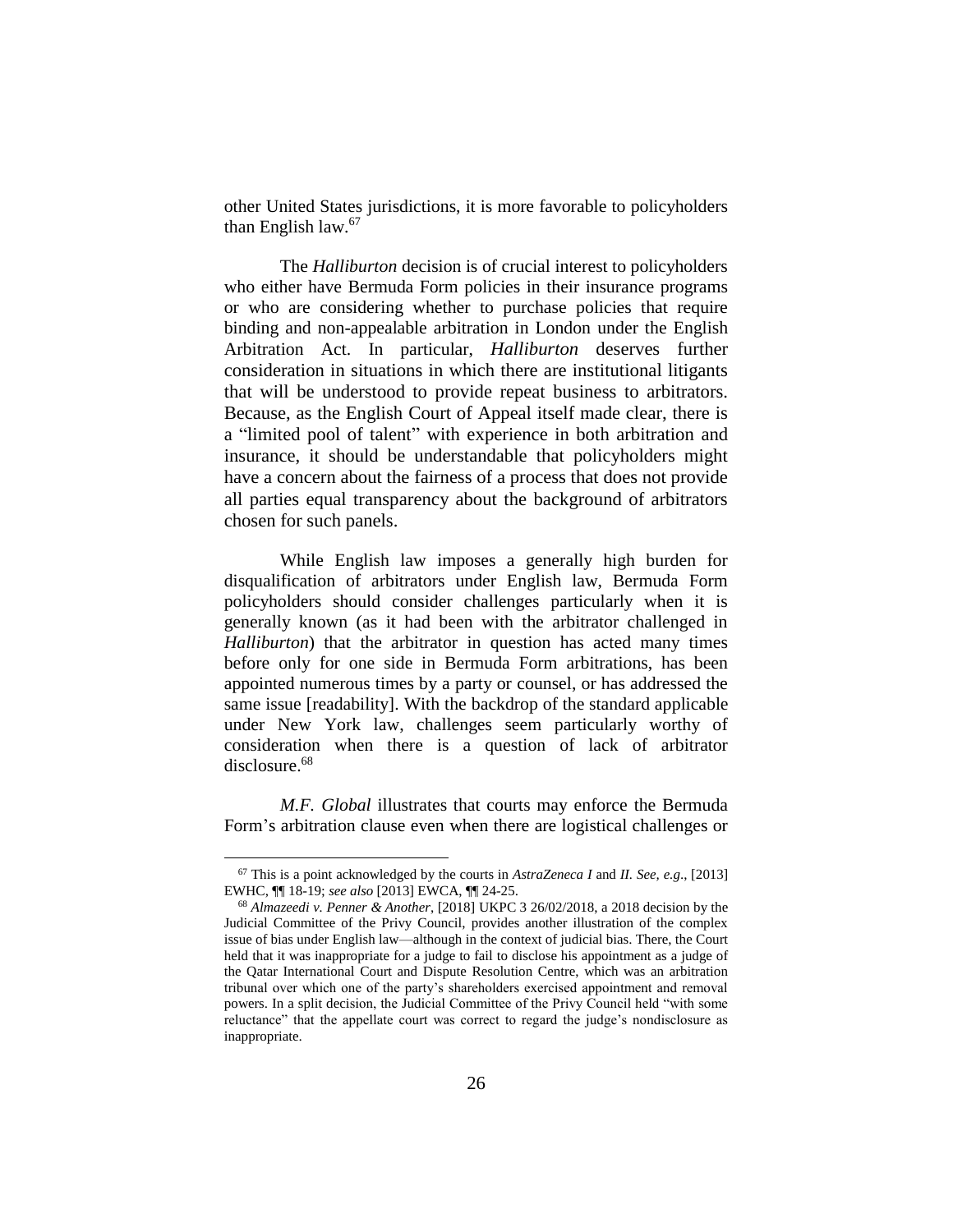other United States jurisdictions, it is more favorable to policyholders than English law.<sup>67</sup>

The *Halliburton* decision is of crucial interest to policyholders who either have Bermuda Form policies in their insurance programs or who are considering whether to purchase policies that require binding and non-appealable arbitration in London under the English Arbitration Act. In particular, *Halliburton* deserves further consideration in situations in which there are institutional litigants that will be understood to provide repeat business to arbitrators. Because, as the English Court of Appeal itself made clear, there is a "limited pool of talent" with experience in both arbitration and insurance, it should be understandable that policyholders might have a concern about the fairness of a process that does not provide all parties equal transparency about the background of arbitrators chosen for such panels.

While English law imposes a generally high burden for disqualification of arbitrators under English law, Bermuda Form policyholders should consider challenges particularly when it is generally known (as it had been with the arbitrator challenged in *Halliburton*) that the arbitrator in question has acted many times before only for one side in Bermuda Form arbitrations, has been appointed numerous times by a party or counsel, or has addressed the same issue [readability]. With the backdrop of the standard applicable under New York law, challenges seem particularly worthy of consideration when there is a question of lack of arbitrator disclosure.<sup>68</sup>

*M.F. Global* illustrates that courts may enforce the Bermuda Form's arbitration clause even when there are logistical challenges or

<sup>67</sup> This is a point acknowledged by the courts in *AstraZeneca I* and *II. See, e.g*., [2013] EWHC, ¶¶ 18-19; *see also* [2013] EWCA, ¶¶ 24-25.

<sup>68</sup> *Almazeedi v. Penner & Another*, [2018] UKPC 3 26/02/2018, a 2018 decision by the Judicial Committee of the Privy Council, provides another illustration of the complex issue of bias under English law—although in the context of judicial bias. There, the Court held that it was inappropriate for a judge to fail to disclose his appointment as a judge of the Qatar International Court and Dispute Resolution Centre, which was an arbitration tribunal over which one of the party's shareholders exercised appointment and removal powers. In a split decision, the Judicial Committee of the Privy Council held "with some reluctance" that the appellate court was correct to regard the judge's nondisclosure as inappropriate.